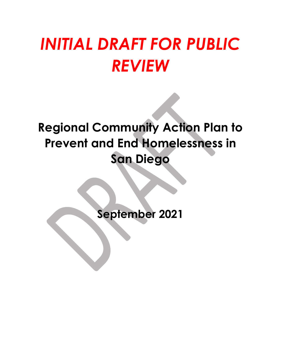# *INITIAL DRAFT FOR PUBLIC REVIEW*

## **Regional Community Action Plan to Prevent and End Homelessness in San Diego**

**September 2021**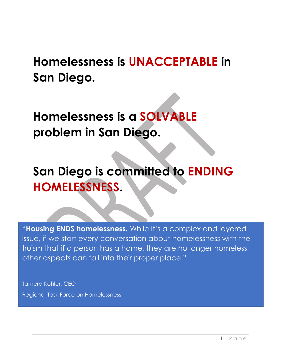## **Homelessness is UNACCEPTABLE in San Diego.**

**Homelessness is a SOLVABLE problem in San Diego.** 

## **San Diego is committed to ENDING HOMELESSNESS.**

"**Housing ENDS homelessness.** While it's a complex and layered issue, if we start every conversation about homelessness with the truism that if a person has a home, they are no longer homeless, other aspects can fall into their proper place."

Tamera Kohler, CEO Regional Task Force on Homelessness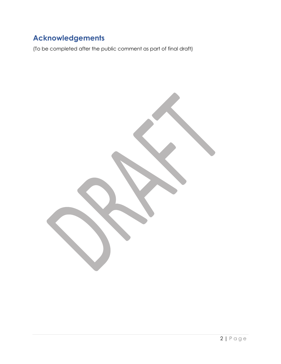## **Acknowledgements**

(To be completed after the public comment as part of final draft)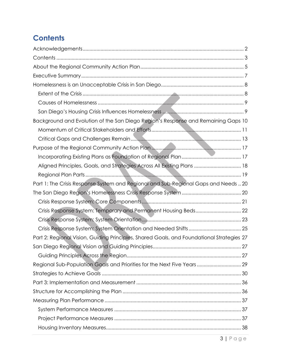## **Contents**

| Background and Evolution of the San Diego Region's Response and Remaining Gaps 10         |  |
|-------------------------------------------------------------------------------------------|--|
|                                                                                           |  |
|                                                                                           |  |
|                                                                                           |  |
|                                                                                           |  |
| Aligned Principles, Goals, and Strategies Across All Existing Plans  18                   |  |
|                                                                                           |  |
| Part 1: The Crisis Response System and Regional and Sub-Regional Gaps and Needs  20       |  |
|                                                                                           |  |
|                                                                                           |  |
|                                                                                           |  |
|                                                                                           |  |
|                                                                                           |  |
| Part 2: Regional Vision, Guiding Principles, Shared Goals, and Foundational Strategies 27 |  |
|                                                                                           |  |
|                                                                                           |  |
| Regional Sub-Population Goals and Priorities for the Next Five Years  29                  |  |
|                                                                                           |  |
|                                                                                           |  |
|                                                                                           |  |
|                                                                                           |  |
|                                                                                           |  |
|                                                                                           |  |
|                                                                                           |  |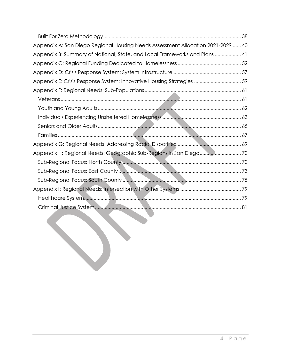| Appendix A: San Diego Regional Housing Needs Assessment Allocation 2021-2029  40 |  |
|----------------------------------------------------------------------------------|--|
| Appendix B: Summary of National, State, and Local Frameworks and Plans  41       |  |
|                                                                                  |  |
|                                                                                  |  |
| Appendix E: Crisis Response System: Innovative Housing Strategies  59            |  |
|                                                                                  |  |
|                                                                                  |  |
|                                                                                  |  |
|                                                                                  |  |
|                                                                                  |  |
|                                                                                  |  |
|                                                                                  |  |
|                                                                                  |  |
|                                                                                  |  |
|                                                                                  |  |
|                                                                                  |  |
|                                                                                  |  |
|                                                                                  |  |
|                                                                                  |  |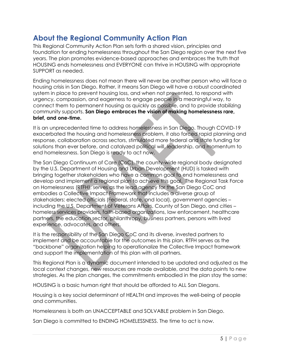## **About the Regional Community Action Plan**

This Regional Community Action Plan sets forth a shared vision, principles and foundation for ending homelessness throughout the San Diego region over the next five years. The plan promotes evidence-based approaches and embraces the truth that HOUSING ends homelessness and EVERYONE can thrive in HOUSING with appropriate SUPPORT as needed.

Ending homelessness does not mean there will never be another person who will face a housing crisis in San Diego. Rather, it means San Diego will have a robust coordinated system in place to prevent housing loss, and when not prevented, to respond with urgency, compassion, and eagerness to engage people in a meaningful way, to connect them to permanent housing as quickly as possible, and to provide stabilizing community supports. **San Diego embraces the vision of making homelessness rare, brief, and one-time.** 

It is an unprecedented time to address homelessness in San Diego. Though COVID-19 exacerbated the housing and homelessness problem, it also forced rapid planning and response, collaboration across sectors, stimulated more federal and state funding for solutions than ever before, and catalyzed political will, leadership, and momentum to end homelessness. San Diego is ready to act now.

The San Diego Continuum of Care (CoC), the county-wide regional body designated by the U.S. Department of Housing and Urban Development (HUD) is tasked with bringing together stakeholders who have a common goal to end homelessness and develop and implement a regional plan to achieve this goal. The Regional Task Force on Homelessness (RTFH), serves as the lead agency for the San Diego CoC and embodies a Collective Impact Framework that includes a diverse group of stakeholders: elected officials (Federal, state, and local), government agencies – including the U.S. Department of Veterans Affairs, County of San Diego, and cities – homeless services providers, faith-based organizations, law enforcement, healthcare partners, the education sector, philanthropy, business partners, persons with lived experience, advocates, and others.

It is the responsibility of the San Diego CoC and its diverse, invested partners to implement and be accountable for the outcomes in this plan. RTFH serves as the "backbone" organization helping to operationalize the Collective Impact framework and support the implementation of this plan with all partners.

This Regional Plan is a dynamic document intended to be updated and adjusted as the local context changes, new resources are made available, and the data points to new strategies. As the plan changes, the commitments embodied in the plan stay the same:

HOUSING is a basic human right that should be afforded to ALL San Diegans.

Housing is a key social determinant of HEALTH and improves the well-being of people and communities.

Homelessness is both an UNACCEPTABLE and SOLVABLE problem in San Diego.

San Diego is committed to ENDING HOMELESSNESS. The time to act is now.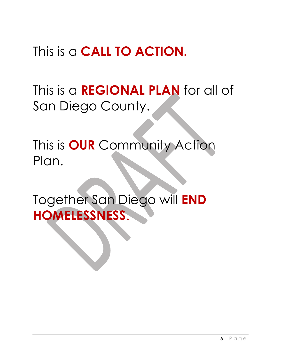## This is a **CALL TO ACTION.**

## This is a **REGIONAL PLAN** for all of San Diego County.

This is **OUR** Community Action Plan.

Together San Diego will **END HOMELESSNESS**.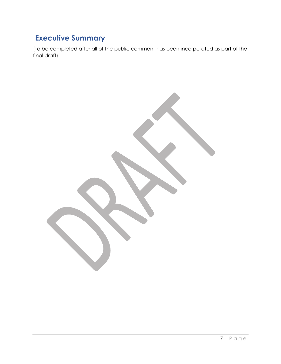## **Executive Summary**

(To be completed after all of the public comment has been incorporated as part of the final draft)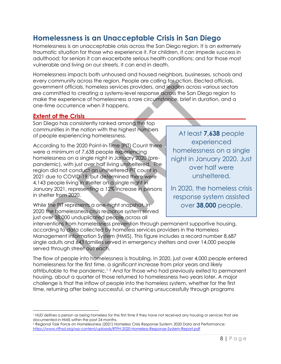## **Homelessness is an Unacceptable Crisis in San Diego**

Homelessness is an unacceptable crisis across the San Diego region. It is an extremely traumatic situation for those who experience it. For children, it can impede success in adulthood; for seniors it can exacerbate serious health conditions; and for those most vulnerable and living on our streets, it can end in death.

Homelessness impacts both unhoused and housed neighbors, businesses, schools and every community across the region. People are calling for action. Elected officials, government officials, homeless services providers, and leaders across various sectors are committed to creating a systems-level response across the San Diego region to make the experience of homelessness a rare circumstance, brief in duration, and a one-time occurrence when it happens.

#### **Extent of the Crisis**

 $\overline{\phantom{a}}$ 

San Diego has consistently ranked among the top communities in the nation with the highest numbers of people experiencing homelessness.

According to the 2020 Point-In-Time (PIT) Count there were a minimum of 7,638 people experiencing homelessness on a single night in January 2020 (prepandemic), with just over half living unsheltered. The region did not conduct an unsheltered PIT count in 2021 due to COVID-19, but determined there were 4,143 people living in shelter on a single night in January 2021, representing a 12% increase in persons in shelter from 2020.

While the PIT represents a one-night snapshot, in 2020 the homelessness crisis response system served just over 38,000 unduplicated people across all

At least **7,638** people experienced homelessness on a single night in January 2020. Just over half were unsheltered.

In 2020, the homeless crisis response system assisted over **38,000** people.

interventions from homelessness prevention through permanent supportive housing, according to data collected by homeless services providers in the Homeless Management Information System (HMIS). This figure includes a record number 8,687 single adults and 643 families served in emergency shelters and over 14,000 people served through street outreach.

The flow of people into homelessness is troubling. In 2020, just over 4,000 people entered homelessness for the first time, a significant increase from prior years and likely attributable to the pandemic. <sup>1</sup> <sup>2</sup> And for those who had previously exited to permanent housing, about a quarter of those returned to homelessness two years later. A major challenge is that the inflow of people into the homeless system, whether for the first time, returning after being successful, or churning unsuccessfully through programs

<sup>1</sup> HUD defines a person as being homeless for the first time if they have not received any housing or services that are documented in HMIS within the past 24 months.

<sup>2</sup> Regional Task Force on Homelessness (2021) Homeless Crisis Response System: 2020 Data and Performance; https://www.rtfhsd.org/wp-content/uploads/RTFH-2020-Homeless-Response-System-Report.pdf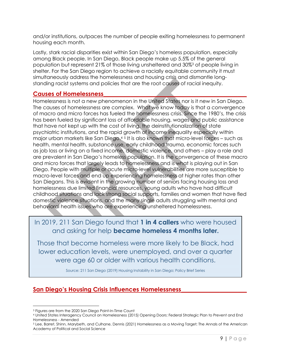and/or institutions, outpaces the number of people exiting homelessness to permanent housing each month.

Lastly, stark racial disparities exist within San Diego's homeless population, especially among Black people. In San Diego, Black people make up 5.5% of the general population but represent 21% of those living unsheltered and 30%<sup>3</sup> of people living in shelter. For the San Diego region to achieve a racially equitable community it must simultaneously address the homelessness and housing crisis and dismantle longstanding racist systems and policies that are the root causes of racial inequity.

#### **Causes of Homelessness\_\_\_\_\_\_\_\_\_\_\_\_\_\_\_\_\_\_\_\_\_\_\_\_\_\_\_\_\_\_\_\_\_\_\_\_\_\_\_\_\_\_\_\_\_\_\_\_**

Homelessness is not a new phenomenon in the United States nor is it new in San Diego. The causes of homelessness are complex. What we know today is that a convergence of macro and micro forces has fueled the homelessness crisis. Since the 1980's, the crisis has been fueled by significant loss of affordable housing, wages and public assistance that have not kept up with the cost of living, the deinstitutionalization of state psychiatric institutions, and the rapid growth of income inequality especially within major urban markets like San Diego.<sup>45</sup> It is also known that micro-level forces – such as health, mental health, substance use, early childhood trauma, economic forces such as job loss or living on a fixed income, domestic violence, and others – play a role and are prevalent in San Diego's homeless population. It is the convergence of these macro and micro forces that largely leads to homelessness and is what is playing out in San Diego. People with multiple or acute micro-level vulnerabilities are more susceptible to macro-level forces and end up experiencing homelessness at higher rates than other San Diegans. This is evident in the growing number of seniors facing housing loss and homelessness due limited financial resources, young adults who have had difficult childhood situations and lack strong social supports, families and women that have fled domestic violence situations, and the many single adults struggling with mental and behavioral health issues who are experiencing unsheltered homelessness.

### In 2019, 211 San Diego found that **1 in 4 callers** who were housed and asking for help **became homeless 4 months later.**

Those that become homeless were more likely to be Black, had lower education levels, were unemployed, and over a quarter were age 60 or older with various health conditions.

Source: 211 San Diego (2019) Housing Instability in San Diego; Policy Brief Series

#### **San Diego's Housing Crisis Influences Homelessness\_\_\_\_\_\_\_\_\_\_\_\_\_\_\_\_\_\_\_\_\_\_**

 $\overline{\phantom{a}}$ <sup>3</sup> Figures are from the 2020 San Diego Point-In-Time Count

<sup>4</sup> United States Interagency Council on Homelessness (2015) Opening Doors: Federal Strategic Plan to Prevent and End Homelessness - Amended

<sup>5</sup> Lee, Barret, Shinn, Marybeth, and Culhane, Dennis (2021) Homelessness as a Moving Target; The Annals of the American Academy of Political and Social Science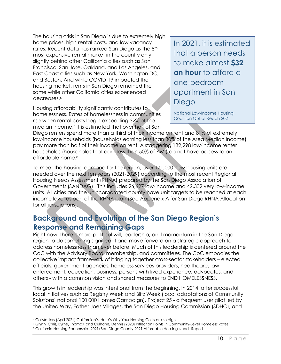The housing crisis in San Diego is due to extremely high home prices, high rental costs, and low vacancy rates. Recent data has ranked San Diego as the 8<sup>th</sup> most expensive rental market in the country only slightly behind other California cities such as San Francisco, San Jose, Oakland, and Los Angeles, and East Coast cities such as New York, Washington DC, and Boston. And while COVID-19 impacted the housing market, rents in San Diego remained the same while other California cities experienced decreases. 6

Housing affordability significantly contributes to homelessness. Rates of homelessness in communities rise when rental costs begin exceeding 32% of the median income.<sup>7</sup> It is estimated that over half of San In 2021, it is estimated that a person needs to make almost **\$32 an hour** to afford a one-bedroom apartment in San Diego

National Low-Income Housing Coalition Out of Reach 2021

Diego renters spend more than a third of their income on rent and 81% of extremely low-income households (households earning less than 30% of the Area Median Income) pay more than half of their income on rent. A staggering 132,298 low-income renter households (households that earn less than 50% of AMI) do not have access to an affordable home.<sup>8</sup>

To meet the housing demand for the region, over 171,000 new housing units are needed over the next ten years (2021-2029) according to the most recent Regional Housing Needs Assessment (RHNA) prepared by the San Diego Association of Governments (SANDAG). This includes 26,627 low-income and 42,332 very low-income units. All cities and the unincorporated county have unit targets to be reached at each income level as part of the RHNA plan (See Appendix A for San Diego RHNA Allocation for all jurisdictions).

## **Background and Evolution of the San Diego Region's Response and Remaining Gaps**

Right now, there is more political will, leadership, and momentum in the San Diego region to do something significant and move forward on a strategic approach to address homelessness than ever before. Much of this leadership is centered around the CoC with the Advisory Board, membership, and committees. The CoC embodies the collective impact framework of bringing together cross-sector stakeholders – elected officials, government agencies, homeless services providers, healthcare, law enforcement, education, business, persons with lived experience, advocates, and others - with a common vision and shared measures to END HOMELESSNESS.

This growth in leadership was intentional from the beginning. In 2014, after successful local initiatives such as Registry Week and Blitz Week (local adaptations of Community Solutions' national 100,000 Homes Campaign), Project 25 - a frequent user pilot led by the United Way, Father Joes Villages, the San Diego Housing Commission (SDHC), and

 $\overline{a}$ 

<sup>6</sup> CalMatters (April 2021) Californian's: Here's Why Your Housing Costs are so High

<sup>7</sup> Glynn, Chris, Byrne, Thomas, and Culhane, Dennis (2020) Inflection Points In Community-Level Homeless Rates

<sup>8</sup> California Housing Partnership (2021) San Diego County 2021 Affordable Housing Needs Report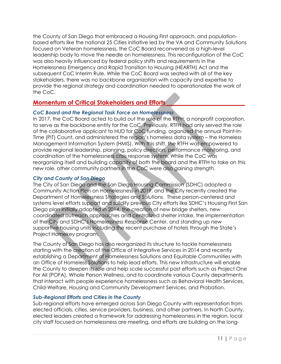the County of San Diego that embraced a Housing First approach, and populationbased efforts like the national 25 Cities initiative led by the VA and Community Solutions focused on Veteran homelessness, the CoC Board reconvened as a high-level leadership body to move the needle on homelessness. This reconfiguration of the CoC was also heavily influenced by federal policy shifts and requirements in the Homelessness Emergency and Rapid Transition to Housing (HEARTH) Act and the subsequent CoC Interim Rule. While the CoC Board was seated with all of the key stakeholders, there was no backbone organization with capacity and expertise to provide the regional strategy and coordination needed to operationalize the work of the CoC.

#### **Momentum of Critical Stakeholders and Efforts**

#### *CoC Board and the Regional Task Force on Homelessness*

In 2017, the CoC Board acted to build out the role of the RTFH, a nonprofit corporation, to serve as the backbone entity for the CoC. Previously, RTFH had only served the role of the collaborative applicant to HUD for CoC funding, organized the annual Point-In-Time (PIT) Count, and administered the region's homeless data system – the Homeless Management Information System (HMIS). With this shift, the RTFH was empowered to provide regional leadership, planning, policy direction, performance monitoring, and coordination of the homelessness crisis response system. While the CoC was reorganizing itself and building capacity of both the board and the RTFH to take on this new role, other community partners in the CoC were also gaining strength.

#### *City and County of San Diego*

The City of San Diego and the San Diego Housing Commission (SDHC) adopted a Community Action Plan on Homelessness in 2019, and the City recently created the Department of Homelessness Strategies and Solutions. These person-centered and systems level efforts support and solidify previous City efforts like SDHC's Housing First San Diego plan initially adopted in 2014, the creation of new bridge shelters, new coordinated outreach approaches and centralized shelter intake, the implementation of the City and SDHC's Homelessness Response Center, and standing up new supportive housing units including the recent purchase of hotels through the State's Project Homekey program.

The County of San Diego has also reorganized its structure to tackle homelessness starting with the creation of the Office of Integrative Services in 2014 and recently establishing a Department of Homelessness Solutions and Equitable Communities with an Office of Homeless Solutions to help lead efforts. This new infrastructure will enable the County to deepen its role and help scale successful past efforts such as Project One For All (POFA), Whole Person Wellness, and to coordinate various County departments that interact with people experience homelessness such as Behavioral Health Services, Child-Welfare, Housing and Community Development Services, and Probation.

#### *Sub-Regional Efforts and Cities in the County*

Sub-regional efforts have emerged across San Diego County with representation from elected officials, cities, service providers, business, and other partners. In North County, elected leaders created a framework for addressing homelessness in the region, local city staff focused on homelessness are meeting, and efforts are building on the long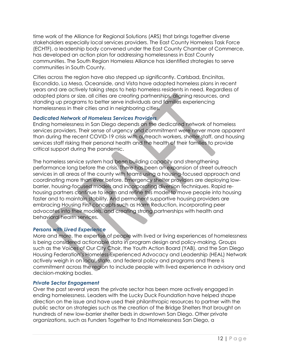time work of the Alliance for Regional Solutions (ARS) that brings together diverse stakeholders especially local services providers. The East County Homeless Task Force (ECHTF), a leadership body convened under the East County Chamber of Commerce, has developed an action plan for addressing homelessness in East County communities. The South Region Homeless Alliance has identified strategies to serve communities in South County.

Cities across the region have also stepped up significantly. Carlsbad, Encinitas, Escondido, La Mesa, Oceanside, and Vista have adopted homeless plans in recent years and are actively taking steps to help homeless residents in need. Regardless of adopted plans or size, all cities are creating partnerships, aligning resources, and standing up programs to better serve individuals and families experiencing homelessness in their cities and in neighboring cities.

#### *Dedicated Network of Homeless Services Providers*

Ending homelessness in San Diego depends on the dedicated network of homeless services providers. Their sense of urgency and commitment were never more apparent than during the recent COVID-19 crisis with outreach workers, shelter staff, and housing services staff risking their personal health and the health of their families to provide critical support during the pandemic.

The homeless service system had been building capacity and strengthening performance long before the crisis. There has been an expansion of street outreach services in all areas of the county with teams using a housing-focused approach and coordinating more than ever before. Emergency shelter providers are deploying lowbarrier, housing-focused models and incorporating diversion techniques. Rapid rehousing partners continue to learn and refine this model to move people into housing faster and to maintain stability. And permanent supportive housing providers are embracing Housing First concepts such as Harm Reduction, incorporating peer advocates into their models, and creating strong partnerships with health and behavioral health services.

#### *Persons with Lived Experience*

More and more, the expertise of people with lived or living experiences of homelessness is being considered actionable data in program design and policy-making. Groups such as the Voices of Our City Choir, the Youth Action Board (YAB), and the San Diego Housing Federation's Homeless-Experienced Advocacy and Leadership (HEAL) Network actively weigh in on local, state, and federal policy and programs and there is commitment across the region to include people with lived experience in advisory and decision-making bodies.

#### *Private Sector Engagement*

Over the past several years the private sector has been more actively engaged in ending homelessness. Leaders with the Lucky Duck Foundation have helped shape direction on the issue and have used their philanthropic resources to partner with the public sector on strategies such as the creation of the Bridge Shelters that brought on hundreds of new low-barrier shelter beds in downtown San Diego. Other private organizations, such as Funders Together to End Homelessness San Diego, a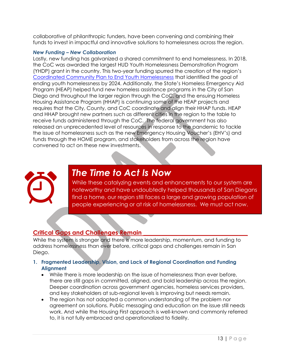collaborative of philanthropic funders, have been convening and combining their funds to invest in impactful and innovative solutions to homelessness across the region.

#### *New Funding – New Collaboration*

Lastly, new funding has galvanized a shared commitment to end homelessness. In 2018, the CoC was awarded the largest HUD Youth Homelessness Demonstration Program (YHDP) grant in the country. This two-year funding spurred the creation of the region's Coordinated Community Plan to End Youth Homelessness that identified the goal of ending youth homelessness by 2024. Additionally, the State's Homeless Emergency Aid Program (HEAP) helped fund new homeless assistance programs in the City of San Diego and throughout the larger region through the CoC, and the ensuing Homeless Housing Assistance Program (HHAP) is continuing some of the HEAP projects and requires that the City, County, and CoC coordinate and align their HHAP funds. HEAP and HHAP brought new partners such as different cities in the region to the table to receive funds administered through the CoC. The federal government has also released an unprecedented level of resources in response to the pandemic to tackle the issue of homelessness such as the new Emergency Housing Voucher's (EHV's) and funds through the HOME program, and stakeholders from across the region have convened to act on these new investments.



## *The Time to Act Is Now*

While these catalyzing events and enhancements to our system are noteworthy and have undoubtedly helped thousands of San Diegans find a home, our region still faces a large and growing population of people experiencing or at risk of homelessness. We must act now.

#### **Critical Gaps and Challenges Remain \_\_\_\_\_\_\_\_\_\_\_\_\_\_\_\_\_\_\_\_\_\_\_\_\_\_\_\_\_\_\_\_\_\_\_**

While the system is stronger and there is more leadership, momentum, and funding to address homelessness than ever before, critical gaps and challenges remain in San Diego.

- **1. Fragmented Leadership, Vision, and Lack of Regional Coordination and Funding Alignment**
	- While there is more leadership on the issue of homelessness than ever before, there are still gaps in committed, aligned, and bold leadership across the region. Deeper coordination across government agencies, homeless services providers, and key stakeholders at sub-regional levels is improving but needs remain.
	- The region has not adopted a common understanding of the problem nor agreement on solutions. Public messaging and education on the issue still needs work. And while the Housing First approach is well-known and commonly referred to, it is not fully embraced and operationalized to fidelity.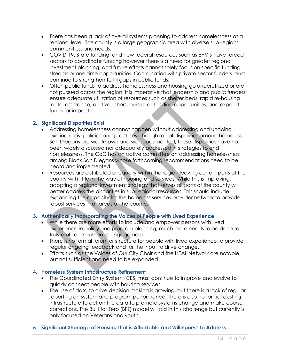- There has been a lack of overall systems planning to address homelessness at a regional level. The county is a large geographic area with diverse sub-regions, communities, and needs.
- COVID-19, State funding, and new federal resources such as EHV's have forced sectors to coordinate funding however there is a need for greater regional investment planning, and future efforts cannot solely focus on specific funding streams or one-time opportunities. Coordination with private sector funders must continue to strengthen to fill gaps in public funds.
- Often public funds to address homelessness and housing go underutilized or are not pursued across the region. It is imperative that leadership and public funders ensure adequate utilization of resources such as shelter beds, rapid re-housing rental assistance, and vouchers, pursue all funding opportunities, and expend funds for impact.

#### **2. Significant Disparities Exist**

- Addressing homelessness cannot happen without addressing and undoing existing racist policies and practices. Though racial disparities among homeless San Diegans are well-known and well-documented, these disparities have not been widely discussed nor adequately addressed in strategies to end homelessness. The CoC has an active committee on addressing homelessness among Black San Diegans whose forthcoming recommendations need to be heard and implemented.
- Resources are distributed unequally within the region leaving certain parts of the county with little in the way of housing and services. While this is improving, adopting a regional investment strategy that serves all parts of the county will better address the disparities in sub-regional resources. This should include expanding the capacity for the homeless services provider network to provide robust services in all areas of the county.

#### **3. Authentically Incorporating the Voices of People with Lived Experience**

- While there are more efforts to include and empower persons with lived experience in policy and program planning, much more needs to be done to truly embrace authentic engagement.
- There is no formal forum or structure for people with lived experience to provide regular ongoing feedback and for the input to drive change.
- Efforts such as the Voices of Our City Choir and the HEAL Network are notable, but not sufficient and need to be expanded

#### **4. Homeless System Infrastructure Refinement**

- The Coordinated Entry System (CES) must continue to improve and evolve to quickly connect people with housing services.
- The use of data to drive decision making is growing, but there is a lack of regular reporting on system and program performance. There is also no formal existing infrastructure to act on the data to promote systems change and make course corrections. The Built for Zero (BFZ) model will aid in this challenge but currently is only focused on Veterans and youth.

#### **5. Significant Shortage of Housing that is Affordable and Willingness to Address**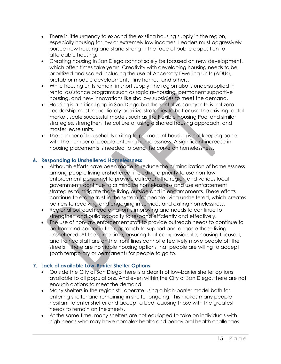- There is little urgency to expand the existing housing supply in the region, especially housing for low or extremely low incomes. Leaders must aggressively pursue new housing and stand strong in the face of public opposition to affordable housing.
- Creating housing in San Diego cannot solely be focused on new development, which often times take years. Creativity with developing housing needs to be prioritized and scaled including the use of Accessory Dwelling Units (ADUs), prefab or module developments, tiny homes, and others.
- While housing units remain in short supply, the region also is undersupplied in rental assistance programs such as rapid re-housing, permanent supportive housing, and new innovations like shallow subsidies to meet the demand.
- Housing is a critical gap in San Diego but the rental vacancy rate is not zero. Leadership must immediately prioritize strategies to better use the existing rental market, scale successful models such as the Flexible Housing Pool and similar strategies, strengthen the culture of using a shared housing approach, and master lease units.
- The number of households exiting to permanent housing is not keeping pace with the number of people entering homelessness. A significant increase in housing placements is needed to bend the curve on homelessness.

#### **6. Responding to Unsheltered Homelessness**

- Although efforts have been made to reduce the criminalization of homelessness among people living unsheltered, including a priority to use non-law enforcement personnel to provide outreach, the region and various local governments continue to criminalize homelessness and use enforcement strategies to mitigate those living outside and in encampments. These efforts continue to erode trust in the system for people living unsheltered, which creates barriers to receiving and engaging in services and exiting homelessness.
- Regional outreach coordination is improving and needs to continue to strengthen and build capacity to respond efficiently and effectively.
- The use of non-law enforcement staff to provide outreach needs to continue to be front and center in the approach to support and engage those living unsheltered. At the same time, ensuring that compassionate, housing focused, and trained staff are on the front lines cannot effectively move people off the streets if there are no viable housing options that people are willing to accept (both temporary or permanent) for people to go to.

#### **7. Lack of available Low-Barrier Shelter Options**

- Outside the City of San Diego there is a dearth of low-barrier shelter options available to all populations. And even within the City of San Diego, there are not enough options to meet the demand.
- Many shelters in the region still operate using a high-barrier model both for entering shelter and remaining in shelter ongoing. This makes many people hesitant to enter shelter and accept a bed, causing those with the greatest needs to remain on the streets.
- At the same time, many shelters are not equipped to take on individuals with high needs who may have complex health and behavioral health challenges.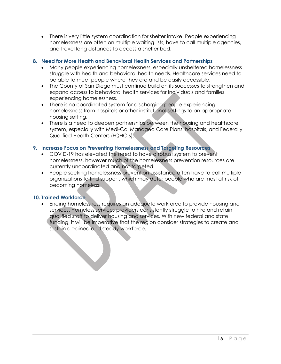• There is very little system coordination for shelter intake. People experiencing homelessness are often on multiple waiting lists, have to call multiple agencies, and travel long distances to access a shelter bed.

#### **8. Need for More Health and Behavioral Health Services and Partnerships**

- Many people experiencing homelessness, especially unsheltered homelessness struggle with health and behavioral health needs. Healthcare services need to be able to meet people where they are and be easily accessible.
- The County of San Diego must continue build on its successes to strengthen and expand access to behavioral health services for individuals and families experiencing homelessness.
- There is no coordinated system for discharging people experiencing homelessness from hospitals or other institutional settings to an appropriate housing setting.
- There is a need to deepen partnerships between the housing and healthcare system, especially with Medi-Cal Managed Care Plans, hospitals, and Federally Qualified Health Centers (FQHC's).

#### **9. Increase Focus on Preventing Homelessness and Targeting Resources**

- COVID-19 has elevated the need to have a robust system to prevent homelessness, however much of the homelessness prevention resources are currently uncoordinated and not targeted.
- People seeking homelessness prevention assistance often have to call multiple organizations to find support, which may deter people who are most at risk of becoming homeless.

#### **10. Trained Workforce**

• Ending homelessness requires an adequate workforce to provide housing and services. Homeless services providers consistently struggle to hire and retain qualified staff to deliver housing and services. With new federal and state funding, it will be imperative that the region consider strategies to create and sustain a trained and steady workforce.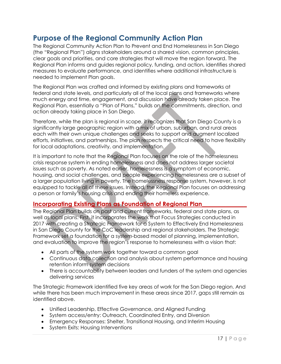## **Purpose of the Regional Community Action Plan**

The Regional Community Action Plan to Prevent and End Homelessness in San Diego (the "Regional Plan") aligns stakeholders around a shared vision, common principles, clear goals and priorities, and core strategies that will move the region forward. The Regional Plan informs and guides regional policy, funding, and action, identifies shared measures to evaluate performance, and identifies where additional infrastructure is needed to implement Plan goals.

The Regional Plan was crafted and informed by existing plans and frameworks at federal and state levels, and particularly all of the local plans and frameworks where much energy and time, engagement, and discussion have already taken place. The Regional Plan, essentially a "Plan of Plans," builds on the commitments, direction, and action already taking place in San Diego.

Therefore, while the plan is regional in scope, it recognizes that San Diego County is a significantly large geographic region with a mix of urban, suburban, and rural areas each with their own unique challenges and seeks to support and augment localized efforts, initiatives, and partnerships. The plan respects the critical need to have flexibility for local adaptations, creativity, and implementation.

It is important to note that the Regional Plan focuses on the role of the homelessness crisis response system in ending homelessness and does not address larger societal issues such as poverty. As noted earlier, homelessness is a symptom of economic, housing, and social challenges, and people experiencing homelessness are a subset of a larger population living in poverty. The homelessness response system, however, is not equipped to tackle all of these issues. Instead, the Regional Plan focuses on addressing a person or family's housing crisis and ending their homeless experience.

#### **Incorporating Existing Plans as Foundation of Regional Plan\_\_\_\_\_\_\_\_\_\_\_\_\_\_\_**

The Regional Plan builds on past and current frameworks, federal and state plans, as well as local plans. First, it incorporates the work that Focus Strategies conducted in 2017 with creating a Strategic Framework for a System to Effectively End Homelessness in San Diego County for the CoC leadership and regional stakeholders. The Strategic Framework set a foundation for a system-based model of planning, implementation, and evaluation to improve the region's response to homelessness with a vision that:

- All parts of the system work together toward a common goal
- Continuous data collection and analysis about system performance and housing retention inform system decisions
- There is accountability between leaders and funders of the system and agencies delivering services

The Strategic Framework identified five key areas of work for the San Diego region. And while there has been much improvement in these areas since 2017, gaps still remain as identified above.

- Unified Leadership, Effective Governance, and Aligned Funding
- System access/entry: Outreach, Coordinated Entry, and Diversion
- Emergency Responses: Shelter, Transitional Housing, and Interim Housing
- System Exits: Housing Interventions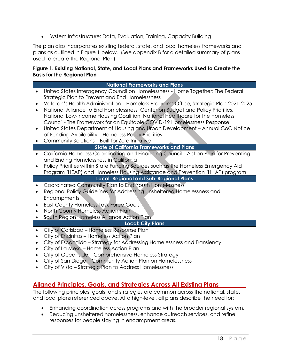• System Infrastructure: Data, Evaluation, Training, Capacity Building

The plan also incorporates existing federal, state, and local homeless frameworks and plans as outlined in Figure 1 below. (See appendix B for a detailed summary of plans used to create the Regional Plan)

#### **Figure 1. Existing National, State, and Local Plans and Frameworks Used to Create the Basis for the Regional Plan**

|                                                               | <b>National Frameworks and Plans</b>                                                                                                                                                                                                                                                                                                                                                                                                                                                                                                                                                                                                                             |  |  |
|---------------------------------------------------------------|------------------------------------------------------------------------------------------------------------------------------------------------------------------------------------------------------------------------------------------------------------------------------------------------------------------------------------------------------------------------------------------------------------------------------------------------------------------------------------------------------------------------------------------------------------------------------------------------------------------------------------------------------------------|--|--|
| $\bullet$<br>$\bullet$<br>$\bullet$<br>$\bullet$              | United States Interagency Council on Homelessness - Home Together: The Federal<br>Strategic Plan to Prevent and End Homelessness<br>Veteran's Health Administration - Homeless Programs Office, Strategic Plan 2021-2025<br>National Alliance to End Homelessness, Center on Budget and Policy Priorities,<br>National Low-Income Housing Coalition, National Healthcare for the Homeless<br>Council - The Framework for an Equitable COVID-19 Homelessness Response<br>United States Department of Housing and Urban Development - Annual CoC Notice<br>of Funding Availability - Homeless Policy Priorities<br>Community Solutions - Built for Zero Initiative |  |  |
|                                                               | <b>State of California Frameworks and Plans</b>                                                                                                                                                                                                                                                                                                                                                                                                                                                                                                                                                                                                                  |  |  |
| $\bullet$<br>$\bullet$                                        | California Homeless Coordinating and Financing Council - Action Plan for Preventing<br>and Ending Homelessness in California<br>Policy Priorities within State Funding Sources such as the Homeless Emergency Aid<br>Program (HEAP) and Homeless Housing Assistance and Prevention (HHAP) program                                                                                                                                                                                                                                                                                                                                                                |  |  |
|                                                               | <b>Local: Regional and Sub-Regional Plans</b>                                                                                                                                                                                                                                                                                                                                                                                                                                                                                                                                                                                                                    |  |  |
| $\bullet$<br>$\bullet$                                        | Coordinated Community Plan to End Youth Homelessness<br>Regional Policy Guidelines for Addressing Unsheltered Homelessness and<br>Encampments<br>East County Homeless Task Force Goals<br>North County Homeless Action Plan<br>South Region Homeless Alliance Action Plan                                                                                                                                                                                                                                                                                                                                                                                        |  |  |
|                                                               | <b>Local: City Plans</b>                                                                                                                                                                                                                                                                                                                                                                                                                                                                                                                                                                                                                                         |  |  |
| $\bullet$<br>$\bullet$<br>$\bullet$<br>$\bullet$<br>$\bullet$ | City of Carlsbad - Homeless Response Plan<br>City of Encinitas - Homeless Action Plan<br>City of Escondido - Strategy for Addressing Homelessness and Transiency<br>City of La Mesa - Homeless Action Plan<br>City of Oceanside - Comprehensive Homeless Strategy<br>City of San Diego - Community Action Plan on Homelessness<br>City of Vista - Strategic Plan to Address Homelessness                                                                                                                                                                                                                                                                         |  |  |

#### **Aligned Principles, Goals, and Strategies Across All Existing Plans\_\_\_\_\_\_\_\_\_**

The following principles, goals, and strategies are common across the national, state, and local plans referenced above. At a high-level, all plans describe the need for:

- Enhancing coordination across programs and with the broader regional system.
- Reducing unsheltered homelessness, enhance outreach services, and refine responses for people staying in encampment areas.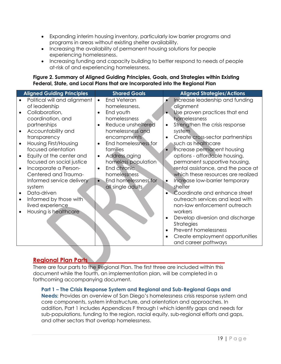- Expanding interim housing inventory, particularly low barrier programs and programs in areas without existing shelter availability.
- Increasing the availability of permanent housing solutions for people experiencing homelessness.
- Increasing funding and capacity building to better respond to needs of people at-risk of and experiencing homelessness.

#### **Figure 2. Summary of Aligned Guiding Principles, Goals, and Strategies within Existing Federal, State, and Local Plans that are Incorporated into the Regional Plan**

|           | <b>Aligned Guiding Principles</b> | <b>Shared Goals</b>        | <b>Aligned Strategies/Actions</b>             |
|-----------|-----------------------------------|----------------------------|-----------------------------------------------|
|           | Political will and alignment      | End Veteran<br>$\bullet$   | Increase leadership and funding               |
|           | of leadership                     | homelessness,              | alignment                                     |
|           | Collaboration,                    | End youth                  | Use proven practices that end<br>$\bullet$    |
|           | coordination, and                 | homelessness               | homelessness                                  |
|           | partnerships                      | Reduce unsheltered         | Strengthen the crisis response<br>$\bullet$   |
|           | Accountability and                | homelessness and           | system                                        |
|           | transparency                      | encampments                | Create cross-sector partnerships<br>$\bullet$ |
|           | Housing First/Housing             | End homelessness for       | such as healthcare                            |
|           | focused orientation               | families                   | Increase permanent housing                    |
|           | Equity at the center and          | Address aging<br>$\bullet$ | options - affordable housing,                 |
|           | focused on social justice         | homeless population        | permanent supportive housing,                 |
|           | Incorporate a Person-             | End chronic                | rental assistance, and the pace at            |
|           | Centered and Trauma-              | homelessness               | which these resources are realized            |
|           | Informed service delivery         | End homelessness for       | Increase low-barrier temporary<br>$\bullet$   |
|           | system                            | all single adults          | shelter                                       |
| $\bullet$ | Data-driven                       |                            | Coordinate and enhance street                 |
| $\bullet$ | Informed by those with            |                            | outreach services and lead with               |
|           | lived experience                  |                            | non-law enforcement outreach                  |
|           | Housing is healthcare             |                            | workers                                       |
|           |                                   |                            | Develop diversion and discharge<br>$\bullet$  |
|           |                                   |                            | <b>Strategies</b>                             |
|           |                                   |                            | Prevent homelessness<br>$\bullet$             |
|           |                                   |                            | Create employment opportunities               |
|           |                                   |                            | and career pathways                           |

#### **Regional Plan Parts\_\_\_\_\_\_\_\_\_\_\_\_\_\_\_\_\_\_\_\_\_\_\_\_\_\_\_\_\_\_\_\_\_\_\_\_\_\_\_\_\_\_\_\_\_\_**

There are four parts to the Regional Plan. The first three are included within this document while the fourth, an implementation plan, will be completed in a forthcoming accompanying document.

#### **Part 1 – The Crisis Response System and Regional and Sub-Regional Gaps and**

**Needs:** Provides an overview of San Diego's homelessness crisis response system and core components, system infrastructure, and orientation and approaches. In addition, Part 1 includes Appendices F through I which identify gaps and needs for sub-populations, funding to the region, racial equity, sub-regional efforts and gaps, and other sectors that overlap homelessness.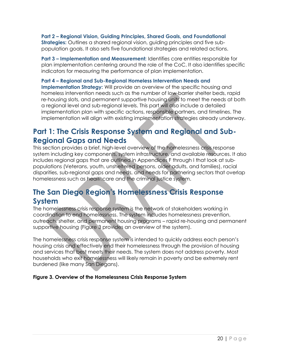**Part 2 – Regional Vision, Guiding Principles, Shared Goals, and Foundational Strategies:** Outlines a shared regional vision, guiding principles and five subpopulation goals. It also sets five foundational strategies and related actions.

**Part 3 – Implementation and Measurement:** Identifies core entities responsible for plan implementation centering around the role of the CoC. It also identifies specific indicators for measuring the performance of plan implementation.

#### **Part 4 – Regional and Sub-Regional Homeless Intervention Needs and**

**Implementation Strategy:** Will provide an overview of the specific housing and homeless intervention needs such as the number of low-barrier shelter beds, rapid re-housing slots, and permanent supportive housing units to meet the needs at both a regional level and sub-regional levels. This part will also include a detailed implementation plan with specific actions, responsible partners, and timelines. The implementation will align with existing implementation strategies already underway.

## **Part 1: The Crisis Response System and Regional and Sub-Regional Gaps and Needs**

This section provides a brief, high-level overview of the homelessness crisis response system including key components, system infrastructure, and available resources. It also includes regional gaps that are outlined in Appendices F through I that look at subpopulations (Veterans, youth, unsheltered persons, older adults, and families), racial disparities, sub-regional gaps and needs, and needs for partnering sectors that overlap homelessness such as healthcare and the criminal justice system.

## **The San Diego Region's Homelessness Crisis Response System**

The homelessness crisis response system is the network of stakeholders working in coordination to end homelessness. The system includes homelessness prevention, outreach, shelter, and permanent housing programs – rapid re-housing and permanent supportive housing (Figure 3 provides an overview of the system).

The homelessness crisis response system is intended to quickly address each person's housing crisis and effectively end their homelessness through the provision of housing and services that best meets their needs. The system does not address poverty. Most households who exit homelessness will likely remain in poverty and be extremely rent burdened (like many San Diegans).

#### **Figure 3. Overview of the Homelessness Crisis Response System**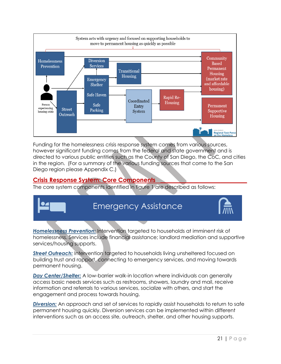

Funding for the homelessness crisis response system comes from various sources, however significant funding comes from the federal and state government and is directed to various public entities such as the County of San Diego, the CoC, and cities in the region. (For a summary of the various funding sources that come to the San Diego region please Appendix C.)

#### **Crisis Response System: Core Components \_\_\_\_\_\_\_\_\_\_\_\_\_\_\_\_\_\_\_\_\_\_\_\_\_\_\_\_\_**

The core system components identified in figure 1 are described as follows:



*Homelessness Prevention:* Intervention targeted to households at imminent risk of homelessness. Services include financial assistance; landlord mediation and supportive services/housing supports.

*Street Outreach:* Intervention targeted to households living unsheltered focused on building trust and rapport, connecting to emergency services, and moving towards permanent housing.

*Day Center/Shelter:* A low-barrier walk-in location where individuals can generally access basic needs services such as restrooms, showers, laundry and mail, receive information and referrals to various services, socialize with others, and start the engagement and process towards housing.

*Diversion:* An approach and set of services to rapidly assist households to return to safe permanent housing quickly. Diversion services can be implemented within different interventions such as an access site, outreach, shelter, and other housing supports.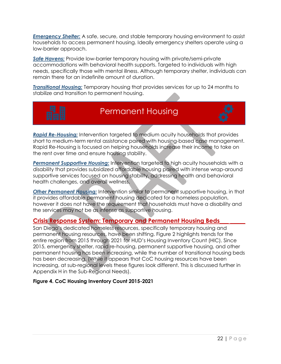*Emergency Shelter:* A safe, secure, and stable temporary housing environment to assist households to access permanent housing. Ideally emergency shelters operate using a low-barrier approach.

*Safe Havens:* Provide low-barrier temporary housing with private/semi-private accommodations with behavioral health supports. Targeted to individuals with high needs, specifically those with mental illness. Although temporary shelter, individuals can remain there for an indefinite amount of duration.

*Transitional Housing:* Temporary housing that provides services for up to 24 months to stabilize and transition to permanent housing.



## Permanent Housing

*Rapid Re-Housing:* Intervention targeted to medium acuity households that provides short to medium-term rental assistance paired with housing-based case management. Rapid Re-Housing is focused on helping households increase their income to take on the rent over time and ensure housing stability.

*Permanent Supportive Housing:* Intervention targeted to high acuity households with a disability that provides subsidized affordable housing paired with intense wrap-around supportive services focused on housing stability, addressing health and behavioral health challenges, and overall wellness.

**Other Permanent Housing:** Intervention similar to permanent supportive housing, in that it provides affordable permanent housing dedicated for a homeless population, however it does not have the requirement that households must have a disability and the services may not be as intense as supportive housing.

#### **Crisis Response System: Temporary and Permanent Housing Beds\_\_\_ \_\_\_\_\_**

San Diego's dedicated homeless resources, specifically temporary housing and permanent housing resources, have been shifting. Figure 2 highlights trends for the entire region from 2015 through 2021 for HUD's Housing Inventory Count (HIC). Since 2015, emergency shelter, rapid re-housing, permanent supportive housing, and other permanent housing has been increasing, while the number of transitional housing beds has been decreasing. (While it appears that CoC housing resources have been increasing, at sub-regional levels these figures look different. This is discussed further in Appendix H in the Sub-Regional Needs).

#### **Figure 4. CoC Housing Inventory Count 2015-2021**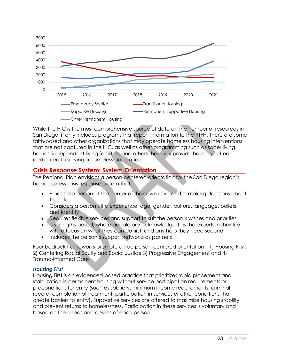

While the HIC is the most comprehensive source of data on the number of resources in San Diego, it only includes programs that report information to the RTFH. There are some faith-based and other organizations that may operate homeless housing interventions that are not captured in the HIC, as well as other programming such as sober living homes, independent living facilities, and others that may provide housing but not dedicated to serving a homeless population.

#### **Crisis Response System: System Orientation\_\_ \_\_\_\_\_\_\_\_\_\_\_\_\_\_\_\_\_\_\_\_\_\_\_\_\_\_**

The Regional Plan envisions a person-centered orientation for the San Diego region's homelessness crisis response system that:

- Places the person at the center of their own care and in making decisions about their life
- Considers a person's life experience, age, gender, culture, language, beliefs, and identity
- Requires flexible services and support to suit the person's wishes and priorities
- Is strengths-based, where people are acknowledged as the experts in their life with a focus on what they can do first, and any help they need second
- Includes the person's support networks as partners

Four bedrock frameworks promote a true person-centered orientation – 1) Housing First, 2) Centering Racial Equity and Social Justice 3) Progressive Engagement and 4) Trauma-Informed Care

#### *Housing First*

Housing First is an evidenced-based practice that prioritizes rapid placement and stabilization in permanent housing without service participation requirements or preconditions for entry (such as sobriety, minimum income requirements, criminal record, completion of treatment, participation in services or other conditions that create barriers to entry). Supportive services are offered to maximize housing stability and prevent returns to homelessness. Participation in these services is voluntary and based on the needs and desires of each person.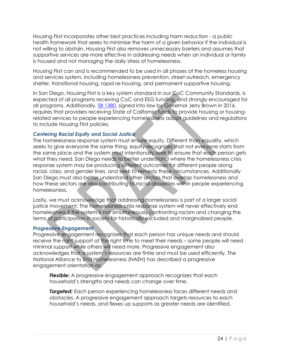Housing First incorporates other best practices including harm reduction - a public health framework that seeks to minimize the harm of a given behavior if the individual is not willing to abstain. Housing First also removes unnecessary barriers and assumes that supportive services are more effective in addressing needs when an individual or family is housed and not managing the daily stress of homelessness.

Housing First can and is recommended to be used in all phases of the homeless housing and services system, including homelessness prevention, street outreach, emergency shelter, transitional housing, rapid re-housing, and permanent supportive housing.

In San Diego, Housing First is a key system standard in our CoC Community Standards, is expected of all programs receiving CoC and ESG funding, and strongly encouraged for all programs. Additionally, SB 1380, signed into law by Governor Jerry Brown in 2016, requires that providers receiving State of California funds to provide housing or housingrelated services to people experiencing homelessness adopt guidelines and regulations to include Housing First policies.

#### *Centering Racial Equity and Social Justice*

The homelessness response system must ensure equity. Different than equality, which seeks to give everyone the same thing, equity recognizes that not everyone starts from the same place and the system must intentionally seek to ensure that each person gets what they need. San Diego needs to better understand where the homelessness crisis response system may be producing different outcomes for different people along racial, class, and gender lines, and seek to remedy these circumstances. Additionally San Diego must also better understand other sectors that overlap homelessness and how these sectors are also contributing to racial disparities within people experiencing homelessness.

Lastly, we must acknowledge that addressing homelessness is part of a larger social justice movement. The homelessness crisis response system will never effectively end homelessness if the system is not simultaneously confronting racism and changing the terms of participation in society for historically excluded and marginalized people.

#### *Progressive Engagement*

Progressive engagement recognizes that each person has unique needs and should receive the right support at the right time to meet their needs – some people will need minimal support while others will need more. Progressive engagement also acknowledges that a system's resources are finite and must be used efficiently. The National Alliance to End Homelessness (NAEH) has described a progressive engagement orientation as:

*Flexible:* A progressive engagement approach recognizes that each household's strengths and needs can change over time.

*Targeted:* Each person experiencing homelessness faces different needs and obstacles. A progressive engagement approach targets resources to each household's needs, and flexes up supports as greater needs are identified.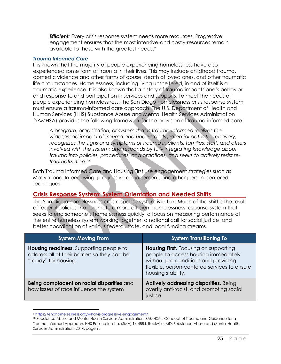*Efficient:* Every crisis response system needs more resources. Progressive engagement ensures that the most intensive-and costly-resources remain available to those with the greatest needs.<sup>9</sup>

#### *Trauma Informed Care*

It is known that the majority of people experiencing homelessness have also experienced some form of trauma in their lives. This may include childhood trauma, domestic violence and other forms of abuse, death of loved ones, and other traumatic life circumstances. Homelessness, including living unsheltered, in and of itself is a traumatic experience. It is also known that a history of trauma impacts one's behavior and response to and participation in services and supports. To meet the needs of people experiencing homelessness, the San Diego homelessness crisis response system must ensure a trauma-informed care approach. The U.S. Department of Health and Human Services (HHS) Substance Abuse and Mental Health Services Administration (SAMHSA) provides the following framework for the provision of trauma-informed care:

*A program, organization, or system that is trauma-informed realizes the widespread impact of trauma and understands potential paths for recovery; recognizes the signs and symptoms of trauma in clients, families, staff, and others involved with the system; and responds by fully integrating knowledge about trauma into policies, procedures, and practices, and seeks to actively resist retraumatization.<sup>10</sup>*

Both Trauma Informed Care and Housing First use engagement strategies such as Motivational Interviewing, progressive engagement, and other person-centered techniques.

#### **Crisis Response System: System Orientation and Needed Shifts \_\_\_\_\_\_\_\_\_\_\_**

The San Diego homelessness crisis response system is in flux. Much of the shift is the result of federal policies that promote a more efficient homelessness response system that seeks to end someone's homelessness quickly, a focus on measuring performance of the entire homeless system working together, a national call for social justice, and better coordination of various federal, state, and local funding streams.

| <b>System Moving From</b>                                                                                              | <b>System Transitioning To</b>                                                                                                                                                                     |
|------------------------------------------------------------------------------------------------------------------------|----------------------------------------------------------------------------------------------------------------------------------------------------------------------------------------------------|
| <b>Housing readiness.</b> Supporting people to<br>address all of their barriers so they can be<br>"ready" for housing. | <b>Housing First.</b> Focusing on supporting<br>people to access housing immediately<br>without pre-conditions and providing<br>flexible, person-centered services to ensure<br>housing stability. |
| Being complacent on racial disparities and<br>how issues of race influence the system                                  | Actively addressing disparities. Being<br>overtly anti-racist, and promoting social<br>justice                                                                                                     |

 $\overline{\phantom{a}}$ <sup>9</sup> https://endhomelessness.org/what-is-progressive-engagement/

<sup>10</sup> Substance Abuse and Mental Health Services Administration. SAMHSA's Concept of Trauma and Guidance for a Trauma-Informed Approach. HHS Publication No. (SMA) 14-4884. Rockville, MD: Substance Abuse and Mental Health Services Administration, 2014, page 9.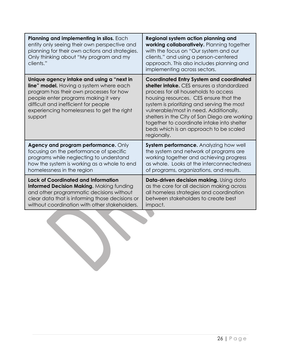| Regional system action planning and<br>working collaboratively. Planning together<br>with the focus on "Our system and our<br>clients," and using a person-centered<br>approach. This also includes planning and<br>implementing across sectors.                                                                                                                                                                                 |
|----------------------------------------------------------------------------------------------------------------------------------------------------------------------------------------------------------------------------------------------------------------------------------------------------------------------------------------------------------------------------------------------------------------------------------|
| <b>Coordinated Entry System and coordinated</b><br>shelter intake. CES ensures a standardized<br>process for all households to access<br>housing resources. CES ensure that the<br>system is prioritizing and serving the most<br>vulnerable/most in need. Additionally,<br>shelters in the City of San Diego are working<br>together to coordinate intake into shelter<br>beds which is an approach to be scaled<br>regionally. |
| <b>System performance.</b> Analyzing how well<br>the system and network of programs are<br>working together and achieving progress<br>as whole. Looks at the interconnectedness<br>of programs, organizations, and results.                                                                                                                                                                                                      |
| Data-driven decision making. Using data<br>as the core for all decision making across<br>all homeless strategies and coordination<br>between stakeholders to create best<br>impact.                                                                                                                                                                                                                                              |
|                                                                                                                                                                                                                                                                                                                                                                                                                                  |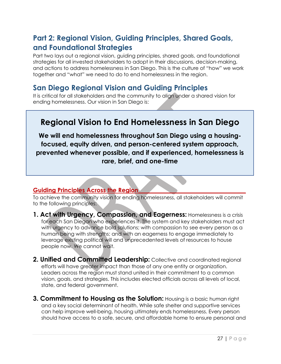## **Part 2: Regional Vision, Guiding Principles, Shared Goals, and Foundational Strategies**

Part two lays out a regional vision, guiding principles, shared goals, and foundational strategies for all invested stakeholders to adopt in their discussions, decision-making, and actions to address homelessness in San Diego. This is the culture of "how" we work together and "what" we need to do to end homelessness in the region.

## **San Diego Regional Vision and Guiding Principles**

It is critical for all stakeholders and the community to align under a shared vision for ending homelessness. Our vision in San Diego is:

## **Regional Vision to End Homelessness in San Diego**

**We will end homelessness throughout San Diego using a housingfocused, equity driven, and person-centered system approach, prevented whenever possible, and if experienced, homelessness is rare, brief, and one-time**

#### **Guiding Principles Across the Region\_\_\_\_\_\_\_\_\_\_\_\_\_\_\_\_\_\_\_\_\_\_\_\_\_\_\_\_\_\_\_\_\_\_\_\_**

To achieve the community vision for ending homelessness, all stakeholders will commit to the following principles:

- **1. Act with Urgency, Compassion, and Eagerness:** Homelessness is a crisis for each San Diegan who experiences it. The system and key stakeholders must act with urgency to advance bold solutions; with compassion to see every person as a human being with strengths; and with an eagerness to engage immediately to leverage existing political will and unprecedented levels of resources to house people now. We cannot wait.
- **2. Unified and Committed Leadership:** Collective and coordinated regional efforts will have greater impact than those of any one entity or organization. Leaders across the region must stand united in their commitment to a common vision, goals, and strategies. This includes elected officials across all levels of local, state, and federal government.
- **3. Commitment to Housing as the Solution:** Housing is a basic human right and a key social determinant of health. While safe shelter and supportive services can help improve well-being, housing ultimately ends homelessness. Every person should have access to a safe, secure, and affordable home to ensure personal and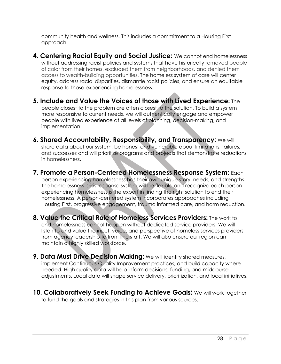community health and wellness. This includes a commitment to a Housing First approach.

- **4. Centering Racial Equity and Social Justice:** We cannot end homelessness without addressing racist policies and systems that have historically removed people of color from their homes, excluded them from neighborhoods, and denied them access to wealth-building opportunities. The homeless system of care will center equity, address racial disparities, dismantle racist policies, and ensure an equitable response to those experiencing homelessness.
- **5. Include and Value the Voices of those with Lived Experience:** The people closest to the problem are often closest to the solution. To build a system more responsive to current needs, we will authentically engage and empower people with lived experience at all levels of planning, decision-making, and implementation.
- **6. Shared Accountability, Responsibility, and Transparency**: We will share data about our system, be honest and vulnerable about limitations, failures, and successes and will prioritize programs and projects that demonstrate reductions in homelessness.
- **7. Promote a Person-Centered Homelessness Response System:** Each person experiencing homelessness has their own unique story, needs, and strengths. The homelessness crisis response system will be flexible and recognize each person experiencing homelessness is the expert in finding the right solution to end their homelessness. A person-centered system incorporates approaches including Housing First, progressive engagement, trauma informed care, and harm reduction.
- **8. Value the Critical Role of Homeless Services Providers:** The work to end homelessness cannot happen without dedicated service providers. We will listen to and value the input, voice, and perspective of homeless services providers from agency leadership to front line staff. We will also ensure our region can maintain a highly skilled workforce.
- **9. Data Must Drive Decision Making:** We will identify shared measures, implement Continuous Quality Improvement practices, and build capacity where needed. High quality data will help inform decisions, funding, and midcourse adjustments. Local data will shape service delivery, prioritization, and local initiatives.
- **10. Collaboratively Seek Funding to Achieve Goals:** We will work together to fund the goals and strategies in this plan from various sources.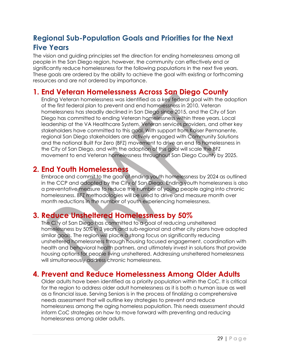## **Regional Sub-Population Goals and Priorities for the Next Five Years**

The vision and guiding principles set the direction for ending homelessness among all people in the San Diego region, however, the community can effectively end or significantly reduce homelessness for the following populations in the next five years. These goals are ordered by the ability to achieve the goal with existing or forthcoming resources and are not ordered by importance.

### **1. End Veteran Homelessness Across San Diego County**

Ending Veteran homelessness was identified as a key federal goal with the adoption of the first federal plan to prevent and end homelessness in 2010. Veteran homelessness has steadily declined in San Diego since 2015, and the City of San Diego has committed to ending Veteran homelessness within three years. Local leadership at the VA Healthcare System, Veteran services providers, and other key stakeholders have committed to this goal. With support from Kaiser Permanente, regional San Diego stakeholders are actively engaged with Community Solutions and the national Built For Zero (BFZ) movement to drive an end to homelessness in the City of San Diego, and with the adoption of this goal will scale the BFZ movement to end Veteran homelessness throughout San Diego County by 2025.

## **2. End Youth Homelessness**

Embrace and commit to the goal of ending youth homelessness by 2024 as outlined in the CCP and adopted by the City of San Diego. Ending youth homelessness is also a preventative measure to reduce the number of young people aging into chronic homelessness. BFZ methodologies will be used to drive and measure month over month reductions in the number of youth experiencing homelessness.

## **3. Reduce Unsheltered Homelessness by 50%**

The City of San Diego has committed to a goal of reducing unsheltered homelessness by 50% in 3 years and sub-regional and other city plans have adopted similar goals. The region will place a strong focus on significantly reducing unsheltered homelessness through housing focused engagement, coordination with health and behavioral health partners, and ultimately invest in solutions that provide housing options for people living unsheltered. Addressing unsheltered homelessness will simultaneously address chronic homelessness.

## **4. Prevent and Reduce Homelessness Among Older Adults**

Older adults have been identified as a priority population within the CoC. It is critical for the region to address older adult homelessness as it is both a human issue as well as a financial issue. Serving Seniors is in the process of finalizing a comprehensive needs assessment that will outline key strategies to prevent and reduce homelessness among the aging homeless population. This needs assessment should inform CoC strategies on how to move forward with preventing and reducing homelessness among older adults.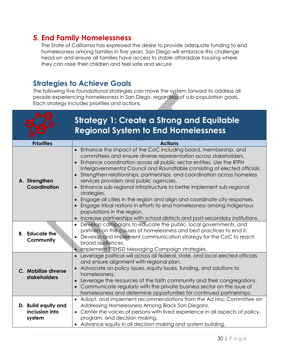## **5. End Family Homelessness**

The State of California has expressed the desire to provide adequate funding to end homelessness among families in five years. San Diego will embrace this challenge head on and ensure all families have access to stable affordable housing where they can raise their children and feel safe and secure.

## **Strategies to Achieve Goals**

The following five foundational strategies can move the system forward to address all people experiencing homelessness in San Diego, regardless of sub-population goals. Each strategy includes priorities and actions.

|                                                 | <b>Strategy 1: Create a Strong and Equitable</b><br><b>Regional System to End Homelessness</b>                                                                                                                                                                                                                                                                                                                                                                                                                                                                                                                                                                                                                                                                                               |
|-------------------------------------------------|----------------------------------------------------------------------------------------------------------------------------------------------------------------------------------------------------------------------------------------------------------------------------------------------------------------------------------------------------------------------------------------------------------------------------------------------------------------------------------------------------------------------------------------------------------------------------------------------------------------------------------------------------------------------------------------------------------------------------------------------------------------------------------------------|
| <b>Priorities</b>                               | <b>Actions</b>                                                                                                                                                                                                                                                                                                                                                                                                                                                                                                                                                                                                                                                                                                                                                                               |
| A. Strengthen<br>Coordination                   | Enhance the impact of the CoC including board, membership, and<br>committees and ensure diverse representation across stakeholders.<br>Enhance coordination across all public sector entities. Use the RTFH<br>Intergovernmental Council and Roundtable consisting of elected officials.<br>Strengthen relationships, partnerships, and coordination across homeless<br>$\bullet$<br>services providers and public agencies.<br>• Enhance sub-regional infrastructure to better implement sub-regional<br>strategies.<br>• Engage all cities in the region and align and coordinate city responses.<br>Engage tribal nations in efforts to end homelessness among indigenous<br>populations in the region.<br>• Increase partnerships with school districts and post-secondary institutions. |
| <b>B.</b> Educate the<br>Community              | • Develop campaigns to educate the public, local governments, and<br>partners on the causes of homelessness and best practices to end it.<br>Develop and implement communication strategy for the CoC to reach<br>$\bullet$<br>broad audiences.<br>Implement FTEHSD Messaging Campaign strategies.                                                                                                                                                                                                                                                                                                                                                                                                                                                                                           |
| C. Mobilize diverse<br>stakeholders             | Leverage political will across all federal, state, and local elected officials<br>and ensure alignment with regional plan.<br>• Advocate on policy issues, equity issues, funding, and solutions to<br>homelessness.<br>• Leverage the resources of the faith community and their congregations.<br>Communicate regularly with the private business sector on the issue of<br>homelessness and determine opportunities for continued partnerships.                                                                                                                                                                                                                                                                                                                                           |
| D. Build equity and<br>inclusion into<br>system | • Adopt, and implement recommendations from the Ad Hoc Committee on<br>Addressing Homelessness Among Black San Diegans.<br>• Center the voices of persons with lived experience in all aspects of policy,<br>program, and decision making.<br>• Advance equity in all decision making and system building.                                                                                                                                                                                                                                                                                                                                                                                                                                                                                   |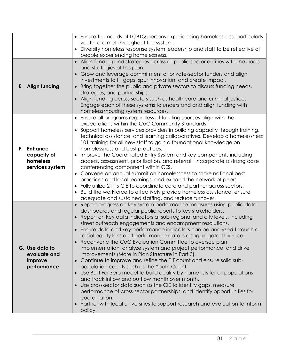|                                                                    | • Ensure the needs of LGBTQ persons experiencing homelessness, particularly<br>youth, are met throughout the system.                                                                                                                                                                                                                                                                                                                                                                                                                                                                                                                                                                                                                                                                                                                                                                                                                                                                                                                                                                                                          |
|--------------------------------------------------------------------|-------------------------------------------------------------------------------------------------------------------------------------------------------------------------------------------------------------------------------------------------------------------------------------------------------------------------------------------------------------------------------------------------------------------------------------------------------------------------------------------------------------------------------------------------------------------------------------------------------------------------------------------------------------------------------------------------------------------------------------------------------------------------------------------------------------------------------------------------------------------------------------------------------------------------------------------------------------------------------------------------------------------------------------------------------------------------------------------------------------------------------|
|                                                                    | Diversify homeless response system leadership and staff to be reflective of<br>people experiencing homelessness.                                                                                                                                                                                                                                                                                                                                                                                                                                                                                                                                                                                                                                                                                                                                                                                                                                                                                                                                                                                                              |
| E. Align funding                                                   | • Align funding and strategies across all public sector entities with the goals<br>and strategies of this plan.<br>Grow and leverage commitment of private-sector funders and align<br>investments to fill gaps, spur innovation, and create impact.<br>Bring together the public and private sectors to discuss funding needs,<br>strategies, and partnerships.<br>Align funding across sectors such as healthcare and criminal justice.<br>Engage each of these systems to understand and align funding with<br>homeless/housing system resources.                                                                                                                                                                                                                                                                                                                                                                                                                                                                                                                                                                          |
| <b>Enhance</b><br>F.<br>capacity of<br>homeless<br>services system | Ensure all programs regardless of funding sources align with the<br>expectations within the CoC Community Standards.<br>Support homeless services providers in building capacity through training,<br>technical assistance, and learning collaboratives. Develop a homelessness<br>101 training for all new staff to gain a foundational knowledge on<br>homelessness and best practices.<br>Improve the Coordinated Entry System and key components including<br>access, assessment, prioritization, and referral. Incorporate a strong case<br>conferencing component within CES.<br>Convene an annual summit on homelessness to share national best<br>practices and local learnings, and expand the network of peers.<br>• Fully utilize 211's CIE to coordinate care and partner across sectors.<br>Build the workforce to effectively provide homeless assistance, ensure<br>adequate and sustained staffing, and reduce turnover.                                                                                                                                                                                      |
| G. Use data to<br>evaluate and<br>improve<br>performance           | • Report progress on key system performance measures using public data<br>dashboards and regular public reports to key stakeholders.<br>Report on key data indicators at sub-regional and city levels, including<br>street outreach engagements and encampment resolutions.<br>Ensure data and key performance indicators can be analyzed through a<br>racial equity lens and performance data is disaggregated by race.<br>Reconvene the CoC Evaluation Committee to oversee plan<br>implementation, analyze system and project performance, and drive<br>improvements (More in Plan Structure in Part 3).<br>Continue to improve and refine the PIT count and ensure solid sub-<br>population counts such as the Youth Count.<br>• Use Built For Zero model to build quality by name lists for all populations<br>and track inflow and outflow month over month.<br>Use cross-sector data such as the CIE to identify gaps, measure<br>performance of cross-sector partnerships, and identify opportunities for<br>coordination.<br>Partner with local universities to support research and evaluation to inform<br>policy. |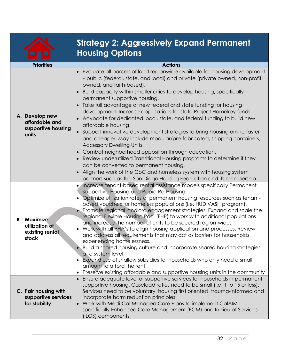|                                                                  | <b>Strategy 2: Aggressively Expand Permanent</b><br><b>Housing Options</b>                                                                                                                                                                                                                                                                                                                                                                                                                                                                                                                                                                                                                                                                                                                                                                                                                                                                                                                                                                                              |
|------------------------------------------------------------------|-------------------------------------------------------------------------------------------------------------------------------------------------------------------------------------------------------------------------------------------------------------------------------------------------------------------------------------------------------------------------------------------------------------------------------------------------------------------------------------------------------------------------------------------------------------------------------------------------------------------------------------------------------------------------------------------------------------------------------------------------------------------------------------------------------------------------------------------------------------------------------------------------------------------------------------------------------------------------------------------------------------------------------------------------------------------------|
| <b>Priorities</b>                                                | <b>Actions</b>                                                                                                                                                                                                                                                                                                                                                                                                                                                                                                                                                                                                                                                                                                                                                                                                                                                                                                                                                                                                                                                          |
| A. Develop new<br>affordable and<br>supportive housing<br>units  | Evaluate all parcels of land regionwide available for housing development<br>- public (federal, state, and local) and private (private owned, non-profit<br>owned, and faith-based).<br>Build capacity within smaller cities to develop housing, specifically<br>permanent supportive housing.<br>Take full advantage of new federal and state funding for housing<br>development. Increase applications for state Project Homekey funds.<br>Advocate for dedicated local, state, and federal funding to build new<br>affordable housing.<br>Support innovative development strategies to bring housing online faster<br>and cheaper. May include modular/pre-fabricated, shipping containers,<br><b>Accessory Dwelling Units.</b><br>Combat neighborhood opposition through education.<br>Review underutilized Transitional Housing programs to determine if they<br>$\bullet$<br>can be converted to permanent housing.<br>Align the work of the CoC and homeless system with housing system<br>partners such as the San Diego Housing Federation and its membership. |
| <b>B.</b> Maximize<br>utilization of<br>existing rental<br>stock | Increase tenant-based rental assistance models specifically Permanent<br>Supportive Housing and Rapid Re-Housing.<br>Optimize utilization rates of permanent housing resources such as tenant-<br>based vouchers for homeless populations (i.e. HUD VASH program).<br>• Promote regional landlord engagement strategies. Expand and scale the<br>regional Flexible Housing Pool (FHP) to work with additional populations<br>and increase the number of units to be secured region-wide.<br>Work with all PHA's to align housing application and processes. Review<br>and address all requirements that may act as barriers for households<br>experiencing homelessness.<br>. Build a shared housing culture and incorporate shared housing strategies<br>at a system level.<br>Expand use of shallow subsidies for households who only need a small<br>amount to afford the rent.<br>Preserve existing affordable and supportive housing units in the community                                                                                                        |
| C. Pair housing with<br>supportive services<br>for stability     | • Ensure adequate level of supportive services for households in permanent<br>supportive housing. Caseload ratios need to be small (i.e. 1 to 15 or less).<br>Services need to be voluntary, housing first oriented, trauma-informed and<br>incorporate harm reduction principles.<br>Work with Medi-Cal Managed Care Plans to implement CalAIM<br>specifically Enhanced Care Management (ECM) and In Lieu of Services                                                                                                                                                                                                                                                                                                                                                                                                                                                                                                                                                                                                                                                  |

(ILOS) components.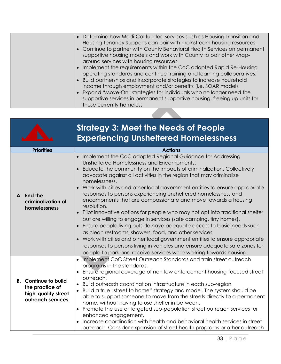| • Determine how Medi-Cal funded services such as Housing Transition and<br>Housing Tenancy Supports can pair with mainstream housing resources.<br>• Continue to partner with County Behavioral Health Services on permanent<br>supportive housing models and work with County to pair other wrap-<br>around services with housing resources.<br>• Implement the requirements within the CoC adopted Rapid Re-Housing<br>operating standards and continue training and learning collaboratives.<br>• Build partnerships and incorporate strategies to increase household<br>income through employment and/or benefits (i.e. SOAR model).<br>• Expand "Move-On" strategies for individuals who no longer need the |
|------------------------------------------------------------------------------------------------------------------------------------------------------------------------------------------------------------------------------------------------------------------------------------------------------------------------------------------------------------------------------------------------------------------------------------------------------------------------------------------------------------------------------------------------------------------------------------------------------------------------------------------------------------------------------------------------------------------|
| supportive services in permanent supportive housing, freeing up units for<br>those currently homeless                                                                                                                                                                                                                                                                                                                                                                                                                                                                                                                                                                                                            |

|                                                                                            | <b>Strategy 3: Meet the Needs of People</b><br><b>Experiencing Unsheltered Homelessness</b>                                                                                                                                                                                                                                                                                                                                                                                                                                                                                                                                                                                                                                                                                                                                                                                                                                                                                                                                       |
|--------------------------------------------------------------------------------------------|-----------------------------------------------------------------------------------------------------------------------------------------------------------------------------------------------------------------------------------------------------------------------------------------------------------------------------------------------------------------------------------------------------------------------------------------------------------------------------------------------------------------------------------------------------------------------------------------------------------------------------------------------------------------------------------------------------------------------------------------------------------------------------------------------------------------------------------------------------------------------------------------------------------------------------------------------------------------------------------------------------------------------------------|
| <b>Priorities</b>                                                                          | <b>Actions</b>                                                                                                                                                                                                                                                                                                                                                                                                                                                                                                                                                                                                                                                                                                                                                                                                                                                                                                                                                                                                                    |
| A. End the<br>criminalization of<br>homelessness                                           | Implement the CoC adopted Regional Guidance for Addressing<br>Unsheltered Homelessness and Encampments.<br>Educate the community on the impacts of criminalization. Collectively<br>advocate against all activities in the region that may criminalize<br>homelessness.<br>Work with cities and other local government entities to ensure appropriate<br>responses to persons experiencing unsheltered homelessness and<br>encampments that are compassionate and move towards a housing<br>resolution.<br>Pilot innovative options for people who may not opt into traditional shelter<br>but are willing to engage in services (safe camping, tiny homes).<br>Ensure people living outside have adequate access to basic needs such<br>as clean restrooms, showers, food, and other services.<br>Work with cities and other local government entities to ensure appropriate<br>responses to persons living in vehicles and ensure adequate safe zones for<br>people to park and receive services while working towards housing. |
| <b>B.</b> Continue to build<br>the practice of<br>high-quality street<br>outreach services | Implement CoC Street Outreach Standards and train street outreach<br>programs in the standards.<br>Ensure regional coverage of non-law enforcement housing-focused street<br>outreach.<br>Build outreach coordination infrastructure in each sub-region.<br>Build a true "street to home" strategy and model. The system should be<br>able to support someone to move from the streets directly to a permanent<br>home, without having to use shelter in between.<br>Promote the use of targeted sub-population street outreach services for<br>$\bullet$<br>enhanced engagement.<br>Increase coordination with health and behavioral health services in street<br>outreach. Consider expansion of street health programs or other outreach                                                                                                                                                                                                                                                                                       |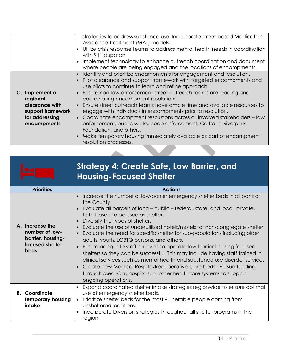|                                                                                                    | strategies to address substance use. Incorporate street-based Medication<br>Assistance Treatment (MAT) models.<br>Utilize crisis response teams to address mental health needs in coordination<br>$\bullet$<br>with 911 dispatch.<br>Implement technology to enhance outreach coordination and document<br>$\bullet$<br>where people are being engaged and the locations of encampments.                                                                                                                                                                                                                                                                                                                                                                                                           |
|----------------------------------------------------------------------------------------------------|----------------------------------------------------------------------------------------------------------------------------------------------------------------------------------------------------------------------------------------------------------------------------------------------------------------------------------------------------------------------------------------------------------------------------------------------------------------------------------------------------------------------------------------------------------------------------------------------------------------------------------------------------------------------------------------------------------------------------------------------------------------------------------------------------|
| C. Implement a<br>regional<br>clearance with<br>support framework<br>for addressing<br>encampments | Identify and prioritize encampments for engagement and resolution.<br>$\bullet$<br>Pilot clearance and support framework with targeted encampments and<br>$\bullet$<br>use pilots to continue to learn and refine approach.<br>Ensure non-law enforcement street outreach teams are leading and<br>$\bullet$<br>coordinating encampment resolutions.<br>Ensure street outreach teams have ample time and available resources to<br>$\bullet$<br>engage with individuals in encampments prior to resolution.<br>Coordinate encampment resolutions across all involved stakeholders - law<br>$\bullet$<br>enforcement, public works, code enforcement, Caltrans, Riverpark<br>Foundation, and others.<br>Make temporary housing immediately available as part of encampment<br>resolution processes. |

|                                                                                          | <b>Strategy 4: Create Safe, Low Barrier, and</b><br><b>Housing-Focused Shelter</b>                                                                                                                                                                                                                                                                                                                                                                                                                                                                                                                                                                                                                                                                                                                                                                                                               |
|------------------------------------------------------------------------------------------|--------------------------------------------------------------------------------------------------------------------------------------------------------------------------------------------------------------------------------------------------------------------------------------------------------------------------------------------------------------------------------------------------------------------------------------------------------------------------------------------------------------------------------------------------------------------------------------------------------------------------------------------------------------------------------------------------------------------------------------------------------------------------------------------------------------------------------------------------------------------------------------------------|
| <b>Priorities</b>                                                                        | <b>Actions</b>                                                                                                                                                                                                                                                                                                                                                                                                                                                                                                                                                                                                                                                                                                                                                                                                                                                                                   |
| A. Increase the<br>number of low-<br>barrier, housing-<br>focused shelter<br><b>beds</b> | Increase the number of low-barrier emergency shelter beds in all parts of<br>$\bullet$<br>the County.<br>Evaluate all parcels of land - public - federal, state, and local, private,<br>faith-based to be used as shelter.<br>Diversify the types of shelter.<br>$\bullet$<br>Evaluate the use of underutilized hotels/motels for non-congregate shelter<br>Evaluate the need for specific shelter for sub-populations including older<br>adults, youth, LGBTQ persons, and others.<br>Ensure adequate staffing levels to operate low-barrier housing focused<br>shelters so they can be successful. This may include having staff trained in<br>clinical services such as mental health and substance use disorder services.<br>Create new Medical Respite/Recuperative Care beds. Pursue funding<br>through Medi-Cal, hospitals, or other healthcare systems to support<br>ongoing operations. |
| <b>B.</b> Coordinate<br>temporary housing<br>intake                                      | Expand coordinated shelter intake strategies regionwide to ensure optimal<br>$\bullet$<br>use of emergency shelter beds.<br>Prioritize shelter beds for the most vulnerable people coming from<br>unsheltered locations.                                                                                                                                                                                                                                                                                                                                                                                                                                                                                                                                                                                                                                                                         |
|                                                                                          | Incorporate Diversion strategies throughout all shelter programs in the<br>region.                                                                                                                                                                                                                                                                                                                                                                                                                                                                                                                                                                                                                                                                                                                                                                                                               |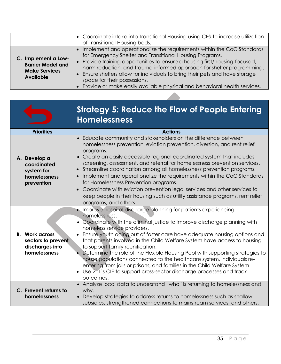|                                                                                             | • Coordinate intake into Transitional Housing using CES to increase utilization<br>of Transitional Housing beds.                                                                                                                                                                                                                                                                                                                                                                            |
|---------------------------------------------------------------------------------------------|---------------------------------------------------------------------------------------------------------------------------------------------------------------------------------------------------------------------------------------------------------------------------------------------------------------------------------------------------------------------------------------------------------------------------------------------------------------------------------------------|
| C. Implement a Low-<br><b>Barrier Model and</b><br><b>Make Services</b><br><b>Available</b> | • Implement and operationalize the requirements within the CoC Standards<br>for Emergency Shelter and Transitional Housing Programs.<br>• Provide training opportunities to ensure a housing first/housing-focused,<br>harm reduction, and trauma-informed approach for shelter programming.<br>• Ensure shelters allow for individuals to bring their pets and have storage<br>space for their possessions.<br>• Provide or make easily available physical and behavioral health services. |

|                                                                                | <b>Strategy 5: Reduce the Flow of People Entering</b><br><b>Homelessness</b>                                                                                                                                                                                                                                                                                                                                                                                                                                                                                                                                                                                                                                           |
|--------------------------------------------------------------------------------|------------------------------------------------------------------------------------------------------------------------------------------------------------------------------------------------------------------------------------------------------------------------------------------------------------------------------------------------------------------------------------------------------------------------------------------------------------------------------------------------------------------------------------------------------------------------------------------------------------------------------------------------------------------------------------------------------------------------|
| <b>Priorities</b>                                                              | <b>Actions</b>                                                                                                                                                                                                                                                                                                                                                                                                                                                                                                                                                                                                                                                                                                         |
| A. Develop a<br>coordinated<br>system for<br>homelessness<br>prevention        | • Educate community and stakeholders on the difference between<br>homelessness prevention, eviction prevention, diversion, and rent relief<br>programs.<br>• Create an easily accessible regional coordinated system that includes<br>screening, assessment, and referral for homelessness prevention services.<br>• Streamline coordination among all homelessness prevention programs.<br>Implement and operationalize the requirements within the CoC Standards<br>for Homelessness Prevention programs.<br>• Coordinate with eviction prevention legal services and other services to<br>keep people in their housing such as utility assistance programs, rent relief<br>programs, and others.                    |
| <b>B.</b> Work across<br>sectors to prevent<br>discharges into<br>homelessness | • Improve hospital discharge planning for patients experiencing<br>homelessness.<br>• Coordinate with the criminal justice to improve discharge planning with<br>homeless service providers.<br>Ensure youth aging out of foster care have adequate housing options and<br>that parents involved in the Child Welfare System have access to housing<br>to support family reunification.<br>• Determine the role of the Flexible Housing Pool with supporting strategies to<br>house populations connected to the healthcare system, individuals re-<br>entering from jails or prisons, and families in the Child Welfare System.<br>• Use 211's CIE to support cross-sector discharge processes and track<br>outcomes. |
| C. Prevent returns to<br>homelessness                                          | • Analyze local data to understand "who" is returning to homelessness and<br>why.<br>• Develop strategies to address returns to homelessness such as shallow<br>subsidies, strengthened connections to mainstream services, and others.                                                                                                                                                                                                                                                                                                                                                                                                                                                                                |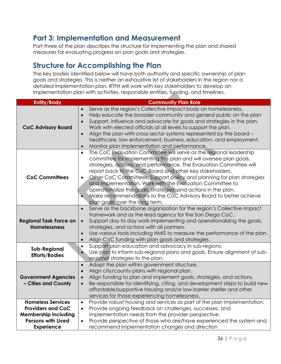# **Part 3: Implementation and Measurement**

Part three of the plan describes the structure for implementing the plan and shared measures for evaluating progress on plan goals and strategies.

# **Structure for Accomplishing the Plan**

The key bodies identified below will have both authority and specific ownership of plan goals and strategies. This is neither an exhaustive list of stakeholders in the region nor a detailed implementation plan. RTFH will work with key stakeholders to develop an implementation plan with activities, responsible entities, funding, and timelines.

| <b>Entity/Body</b>                                                                                                                    | <b>Community Plan Role</b>                                                                                                                                                                                                                                                                                                                                                                                                                                                                                                                                                                           |  |  |
|---------------------------------------------------------------------------------------------------------------------------------------|------------------------------------------------------------------------------------------------------------------------------------------------------------------------------------------------------------------------------------------------------------------------------------------------------------------------------------------------------------------------------------------------------------------------------------------------------------------------------------------------------------------------------------------------------------------------------------------------------|--|--|
| <b>CoC Advisory Board</b>                                                                                                             | Serve as the region's Collective Impact body on homelessness.<br>$\bullet$<br>Help educate the broader community and general public on the plan<br>$\bullet$<br>Support, influence and advocate for goals and strategies in the plan.<br>$\bullet$<br>Work with elected officials at all levels to support the plan.<br>Align the plan with cross-sector systems represented by the board -<br>$\bullet$<br>healthcare, law enforcement, business, education, and employment.<br>Monitor plan implementation and performance.<br>$\bullet$                                                           |  |  |
| <b>CoC Committees</b>                                                                                                                 | The CoC Evaluation Committee will serve as the regional leadership<br>$\bullet$<br>committee for implementing the plan and will oversee plan goals,<br>strategies, actions, and performance. The Evaluation Committee will<br>report back to the CoC Board and other key stakeholders.<br>Other CoC Committees: Support policy and planning for plan strategies<br>and implementation. Work with the Evaluation Committee to<br>operationalize the goals, strategies, and actions in the plan.<br>Make recommendations to the CoC Advisory Board to better achieve<br>plan goals over the long term. |  |  |
| <b>Regional Task Force on</b><br><b>Homelessness</b>                                                                                  | Serve as the backbone organization for the region's Collective Impact<br>$\bullet$<br>framework and as the lead agency for the San Diego CoC.<br>Support day to day work implementing and operationalizing the goals,<br>$\bullet$<br>strategies, and actions with all partners.<br>Use various tools including HMIS to measure the performance of the plan.<br>$\bullet$<br>Align CoC funding with plan goals and strategies.<br>$\bullet$                                                                                                                                                          |  |  |
| <b>Sub-Regional</b><br><b>Efforts/Bodies</b>                                                                                          | Support plan education and advocacy in sub-regions.<br>$\bullet$<br>Use plan to inform sub-regional plans and goals. Ensure alignment of sub-<br>regional strategies to the plan.                                                                                                                                                                                                                                                                                                                                                                                                                    |  |  |
| <b>Government Agencies</b><br>- Cities and County                                                                                     | Adopt the plan within government structure.<br>$\bullet$<br>Align city/county plans with regional plan.<br>$\bullet$<br>Align funding to plan and implement goals, strategies, and actions.<br>Be responsible for identifying, citing, and development steps to build new<br>affordable/supportive housing and/or low-barrier shelter and other<br>services for those experiencing homelessness.                                                                                                                                                                                                     |  |  |
| <b>Homeless Services</b><br><b>Providers and CoC</b><br><b>Membership including</b><br><b>Persons with Lived</b><br><b>Experience</b> | Provide robust housing and services as part of the plan implementation.<br>$\bullet$<br>Provide ongoing feedback on challenges, successes, and<br>$\bullet$<br>implementation needs from the provider perspective.<br>Provide perspective of those who are/have experienced the system and<br>recommend implementation changes and direction                                                                                                                                                                                                                                                         |  |  |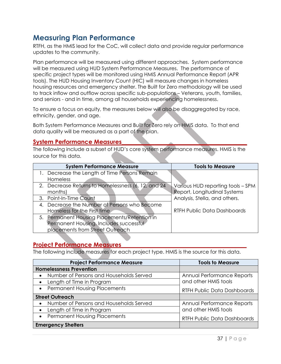# **Measuring Plan Performance**

RTFH, as the HMIS lead for the CoC, will collect data and provide regular performance updates to the community.

Plan performance will be measured using different approaches. System performance will be measured using HUD System Performance Measures. The performance of specific project types will be monitored using HMIS Annual Performance Report (APR tools). The HUD Housing Inventory Count (HIC) will measure changes in homeless housing resources and emergency shelter. The Built for Zero methodology will be used to track inflow and outflow across specific sub-populations – Veterans, youth, families, and seniors - and in time, among all households experiencing homelessness.

To ensure a focus on equity, the measures below will also be disaggregated by race, ethnicity, gender, and age.

Both System Performance Measures and Built for Zero rely on HMIS data. To that end data quality will be measured as a part of the plan.

## **System Performance Measures\_\_\_\_\_\_\_\_\_\_\_\_\_\_\_\_\_\_\_\_\_\_\_\_\_\_\_\_\_\_\_\_\_\_\_\_\_\_\_\_\_\_**

The following include a subset of HUD's core system performance measures. HMIS is the source for this data.

| <b>System Performance Measure</b>                  | <b>Tools to Measure</b>            |
|----------------------------------------------------|------------------------------------|
| Decrease the Length of Time Persons Remain         |                                    |
| <b>Homeless</b>                                    |                                    |
| 2. Decrease Returns to Homelessness (6, 12, and 24 | Various HUD reporting tools - SPM  |
| months)                                            | Report, Longitudinal Systems       |
| 3. Point-In-Time Count                             | Analysis, Stella, and others.      |
| 4. Decrease the Number of Persons who Become       |                                    |
| Homeless for the First time                        | <b>RTFH Public Data Dashboards</b> |
| 5. Permanent Housing Placements/Retention in       |                                    |
| Permanent Housing. Includes successful             |                                    |
| placements from Street Outreach                    |                                    |

## **Project Performance Measures\_\_\_\_\_\_\_\_\_\_\_\_\_\_\_\_\_\_\_\_\_\_\_\_\_\_\_\_\_\_\_\_\_\_\_\_\_\_\_\_\_\_**

The following include measures for each project type. HMIS is the source for this data.

| <b>Project Performance Measure</b>                   | <b>Tools to Measure</b>            |
|------------------------------------------------------|------------------------------------|
| <b>Homelessness Prevention</b>                       |                                    |
| Number of Persons and Households Served<br>$\bullet$ | Annual Performance Reports         |
| Length of Time in Program<br>$\bullet$               | and other HMIS tools               |
| • Permanent Housing Placements                       | <b>RTFH Public Data Dashboards</b> |
| <b>Street Outreach</b>                               |                                    |
| Number of Persons and Households Served<br>$\bullet$ | Annual Performance Reports         |
| Length of Time in Program<br>$\bullet$               | and other HMIS tools               |
| • Permanent Housing Placements                       | <b>RTFH Public Data Dashboards</b> |
| <b>Emergency Shelters</b>                            |                                    |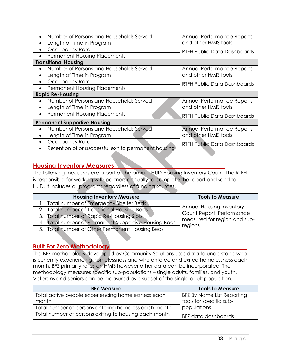| Number of Persons and Households Served              | Annual Performance Reports         |  |
|------------------------------------------------------|------------------------------------|--|
| Length of Time in Program                            | and other HMIS tools               |  |
| Occupancy Rate                                       | RTFH Public Data Dashboards        |  |
| <b>Permanent Housing Placements</b>                  |                                    |  |
| <b>Transitional Housing</b>                          |                                    |  |
| Number of Persons and Households Served              | Annual Performance Reports         |  |
| Length of Time in Program                            | and other HMIS tools               |  |
| Occupancy Rate                                       | <b>RTFH Public Data Dashboards</b> |  |
| <b>Permanent Housing Placements</b>                  |                                    |  |
| <b>Rapid Re-Housing</b>                              |                                    |  |
| Number of Persons and Households Served              | Annual Performance Reports         |  |
| Length of Time in Program                            | and other HMIS tools               |  |
| <b>Permanent Housing Placements</b><br>$\bullet$     | <b>RTFH Public Data Dashboards</b> |  |
| <b>Permanent Supportive Housing</b>                  |                                    |  |
| Number of Persons and Households Served              | Annual Performance Reports         |  |
| Length of Time in Program                            | and other HMIS tools               |  |
| Occupancy Rate<br>$\bullet$                          | <b>RTFH Public Data Dashboards</b> |  |
| Retention of or successful exit to permanent housing |                                    |  |

## **Housing Inventory Measures\_\_\_\_\_\_\_\_\_\_\_\_\_\_\_\_\_\_\_\_\_\_\_\_\_\_\_\_\_\_\_\_\_\_\_\_\_**

The following measures are a part of the annual HUD Housing Inventory Count. The RTFH is responsible for working with partners annually to complete the report and send to HUD. It includes all programs regardless of funding sources.

| <b>Housing Inventory Measure</b>                     | <b>Tools to Measure</b>                                   |
|------------------------------------------------------|-----------------------------------------------------------|
| 1. Total number of Emergency Shelter Beds            |                                                           |
| 2. Total number of Transitional Housing Beds         | <b>Annual Housing Inventory</b>                           |
| 3. Total number of Rapid Re-Housing Slots            | Count Report. Performance<br>measured for region and sub- |
| 4. Total number of Permanent Supportive Housing Beds | regions                                                   |
| 5. Total number of Other Permanent Housing Beds      |                                                           |

## **Built For Zero Methodology\_\_\_\_\_\_\_\_\_\_\_\_\_\_\_\_\_\_\_\_\_\_\_\_\_\_\_\_\_\_\_\_\_\_\_\_\_\_\_\_\_\_\_\_\_\_**

The BFZ methodology developed by Community Solutions uses data to understand who is currently experiencing homelessness and who entered and exited homelessness each month. BFZ primarily relies on HMIS however other data can be incorporated. The methodology measures specific sub-populations – single adults, families, and youth. Veterans and seniors can be measured as a subset of the single adult population.

| <b>BFZ Measure</b>                                    | <b>Tools to Measure</b>    |
|-------------------------------------------------------|----------------------------|
| Total active people experiencing homelessness each    | BFZ By Name List Reporting |
| month                                                 | tools for specific sub-    |
| Total number of persons entering homeless each month  | populations                |
| Total number of persons exiting to housing each month | BFZ data dashboards        |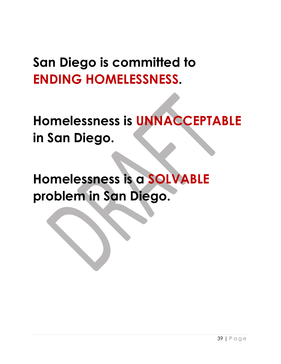# **San Diego is committed to ENDING HOMELESSNESS.**

**Homelessness is UNNACCEPTABLE in San Diego.** 

**Homelessness is a SOLVABLE problem in San Diego.**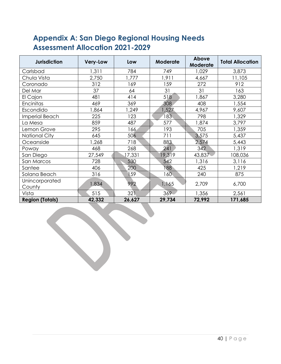# **Appendix A: San Diego Regional Housing Needs Assessment Allocation 2021-2029**

| <b>Jurisdiction</b>      | <b>Very-Low</b> | Low    | <b>Moderate</b> | Above<br><b>Moderate</b> | <b>Total Allocation</b> |
|--------------------------|-----------------|--------|-----------------|--------------------------|-------------------------|
| Carlsbad                 | 1,311           | 784    | 749             | 1,029                    | 3,873                   |
| Chula Vista              | 2,750           | 1,777  | 1,911           | 4,667                    | 11,105                  |
| Coronado                 | 312             | 169    | 159             | 272                      | 912                     |
| Del Mar                  | 37              | 64     | 31              | 31                       | 163                     |
| El Cajon                 | 481             | 414    | 518             | 1,867                    | 3,280                   |
| Encinitas                | 469             | 369    | 308             | 408                      | 1,554                   |
| Escondido                | 1,864           | 1,249  | 1,527           | 4,967                    | 9,607                   |
| Imperial Beach           | 225             | 123    | 183             | 798                      | 1,329                   |
| La Mesa                  | 859             | 487    | 577             | 1,874                    | 3,797                   |
| Lemon Grove              | 295             | 166    | 193             | 705                      | 1,359                   |
| <b>National City</b>     | 645             | 506    | 711             | 3,575                    | 5,437                   |
| Oceanside                | 1,268           | 718    | 883             | 2,574                    | 5,443                   |
| Poway                    | 468             | 268    | 241             | 342                      | 1,319                   |
| San Diego                | 27,549          | 17,331 | 19,319          | 43,837                   | 108,036                 |
| San Marcos               | 728             | 530    | 542             | 1,316                    | 3,116                   |
| Santee                   | 406             | 200    | 88              | 425                      | 1,219                   |
| Solana Beach             | 316             | 159    | 160             | 240                      | 875                     |
| Unincorporated<br>County | 1,834           | 992    | 1,165           | 2,709                    | 6,700                   |
| Vista                    | 515             | 321    | 369             | 1,356                    | 2,561                   |
| <b>Region (Totals)</b>   | 42,332          | 26,627 | 29,734          | 72,992                   | 171,685                 |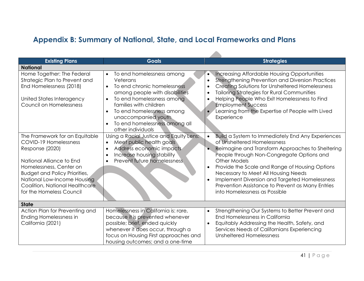# **Appendix B: Summary of National, State, and Local Frameworks and Plans**

| <b>Existing Plans</b>                                                                                                                                                                                                                                                  | <b>Goals</b>                                                                                                                                                                                                                                                                                                                 | <b>Strategies</b>                                                                                                                                                                                                                                                                                                                                                                                                                             |
|------------------------------------------------------------------------------------------------------------------------------------------------------------------------------------------------------------------------------------------------------------------------|------------------------------------------------------------------------------------------------------------------------------------------------------------------------------------------------------------------------------------------------------------------------------------------------------------------------------|-----------------------------------------------------------------------------------------------------------------------------------------------------------------------------------------------------------------------------------------------------------------------------------------------------------------------------------------------------------------------------------------------------------------------------------------------|
| <b>National</b>                                                                                                                                                                                                                                                        |                                                                                                                                                                                                                                                                                                                              |                                                                                                                                                                                                                                                                                                                                                                                                                                               |
| Home Together: The Federal<br>Strategic Plan to Prevent and<br>End Homelessness (2018)<br>United States Interagency<br>Council on Homelessness                                                                                                                         | To end homelessness among<br>$\bullet$<br>Veterans<br>To end chronic homelessness<br>$\bullet$<br>among people with disabilities<br>To end homelessness among<br>$\bullet$<br>families with children<br>To end homelessness among<br>$\bullet$<br>unaccompanied youth.<br>To end homelessness among all<br>other individuals | <b>Increasing Affordable Housing Opportunities</b><br>$\bullet$<br><b>Strengthening Prevention and Diversion Practices</b><br>$\bullet$<br>Creating Solutions for Unsheltered Homelessness<br><b>Tailoring Strategies for Rural Communities</b><br>$\bullet$<br>Helping People Who Exit Homelessness to Find<br><b>Employment Success</b><br>Learning from the Expertise of People with Lived<br>Experience                                   |
| The Framework for an Equitable<br>COVID-19 Homelessness<br>Response (2020)<br>National Alliance to End<br>Homelessness, Center on<br><b>Budget and Policy Priorities,</b><br>National Low-Income Housing<br>Coalition, National Healthcare<br>for the Homeless Council | Using a Racial Justice and Equity Lens:<br>Meet public health goals<br>$\bullet$<br>Address economic impacts<br>$\bullet$<br>Increase housing stability<br>Prevent future homelessness<br>$\bullet$                                                                                                                          | Build a System to Immediately End Any Experiences<br>of Unsheltered Homelessness<br>Reimagine and Transform Approaches to Sheltering<br>People through Non-Congregate Options and<br>Other Models<br>Provide the Scale and Range of Housing Options<br>Necessary to Meet All Housing Needs<br>Implement Diversion and Targeted Homelessness<br>$\bullet$<br>Prevention Assistance to Prevent as Many Entries<br>into Homelessness as Possible |
| <b>State</b>                                                                                                                                                                                                                                                           |                                                                                                                                                                                                                                                                                                                              |                                                                                                                                                                                                                                                                                                                                                                                                                                               |
| Action Plan for Preventing and<br>Ending Homelessness in<br>California (2021)                                                                                                                                                                                          | Homelessness in California is: rare,<br>because it is prevented whenever<br>possible; brief, ended quickly<br>whenever it does occur, through a<br>focus on Housing First approaches and<br>housing outcomes; and a one-time                                                                                                 | Strengthening Our Systems to Better Prevent and<br>$\bullet$<br>End Homelessness in California<br>Equitably Addressing the Health, Safety, and<br>Services Needs of Californians Experiencing<br>Unsheltered Homelessness                                                                                                                                                                                                                     |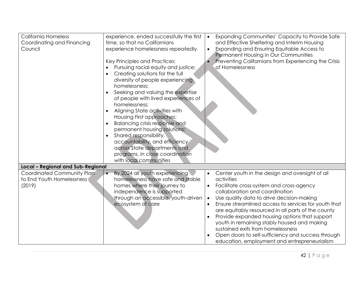|                                     | Expanding Communities' Capacity to Provide Safe<br>$\bullet$                                                                                                                                                                                                                                                                                                                                                                                                                                                                                                                                                                                                                                                                                                   |
|-------------------------------------|----------------------------------------------------------------------------------------------------------------------------------------------------------------------------------------------------------------------------------------------------------------------------------------------------------------------------------------------------------------------------------------------------------------------------------------------------------------------------------------------------------------------------------------------------------------------------------------------------------------------------------------------------------------------------------------------------------------------------------------------------------------|
|                                     | and Effective Sheltering and Interim Housing                                                                                                                                                                                                                                                                                                                                                                                                                                                                                                                                                                                                                                                                                                                   |
|                                     |                                                                                                                                                                                                                                                                                                                                                                                                                                                                                                                                                                                                                                                                                                                                                                |
|                                     | <b>Expanding and Ensuring Equitable Access to</b>                                                                                                                                                                                                                                                                                                                                                                                                                                                                                                                                                                                                                                                                                                              |
|                                     | Permanent Housing in Our Communities                                                                                                                                                                                                                                                                                                                                                                                                                                                                                                                                                                                                                                                                                                                           |
|                                     | Preventing Californians from Experiencing the Crisis                                                                                                                                                                                                                                                                                                                                                                                                                                                                                                                                                                                                                                                                                                           |
|                                     | of Homelessness                                                                                                                                                                                                                                                                                                                                                                                                                                                                                                                                                                                                                                                                                                                                                |
| Creating solutions for the full     |                                                                                                                                                                                                                                                                                                                                                                                                                                                                                                                                                                                                                                                                                                                                                                |
| diversity of people experiencing    |                                                                                                                                                                                                                                                                                                                                                                                                                                                                                                                                                                                                                                                                                                                                                                |
| homelessness;                       |                                                                                                                                                                                                                                                                                                                                                                                                                                                                                                                                                                                                                                                                                                                                                                |
|                                     |                                                                                                                                                                                                                                                                                                                                                                                                                                                                                                                                                                                                                                                                                                                                                                |
|                                     |                                                                                                                                                                                                                                                                                                                                                                                                                                                                                                                                                                                                                                                                                                                                                                |
|                                     |                                                                                                                                                                                                                                                                                                                                                                                                                                                                                                                                                                                                                                                                                                                                                                |
|                                     |                                                                                                                                                                                                                                                                                                                                                                                                                                                                                                                                                                                                                                                                                                                                                                |
|                                     |                                                                                                                                                                                                                                                                                                                                                                                                                                                                                                                                                                                                                                                                                                                                                                |
|                                     |                                                                                                                                                                                                                                                                                                                                                                                                                                                                                                                                                                                                                                                                                                                                                                |
|                                     |                                                                                                                                                                                                                                                                                                                                                                                                                                                                                                                                                                                                                                                                                                                                                                |
|                                     |                                                                                                                                                                                                                                                                                                                                                                                                                                                                                                                                                                                                                                                                                                                                                                |
|                                     |                                                                                                                                                                                                                                                                                                                                                                                                                                                                                                                                                                                                                                                                                                                                                                |
|                                     |                                                                                                                                                                                                                                                                                                                                                                                                                                                                                                                                                                                                                                                                                                                                                                |
|                                     |                                                                                                                                                                                                                                                                                                                                                                                                                                                                                                                                                                                                                                                                                                                                                                |
|                                     |                                                                                                                                                                                                                                                                                                                                                                                                                                                                                                                                                                                                                                                                                                                                                                |
|                                     |                                                                                                                                                                                                                                                                                                                                                                                                                                                                                                                                                                                                                                                                                                                                                                |
|                                     |                                                                                                                                                                                                                                                                                                                                                                                                                                                                                                                                                                                                                                                                                                                                                                |
| $\bullet$                           | Center youth in the design and oversight of all                                                                                                                                                                                                                                                                                                                                                                                                                                                                                                                                                                                                                                                                                                                |
|                                     | activities                                                                                                                                                                                                                                                                                                                                                                                                                                                                                                                                                                                                                                                                                                                                                     |
|                                     | Facilitate cross-system and cross-agency                                                                                                                                                                                                                                                                                                                                                                                                                                                                                                                                                                                                                                                                                                                       |
|                                     | collaboration and coordination                                                                                                                                                                                                                                                                                                                                                                                                                                                                                                                                                                                                                                                                                                                                 |
| through an accessible, youth-driven | Use quality data to drive decision-making<br>$\bullet$                                                                                                                                                                                                                                                                                                                                                                                                                                                                                                                                                                                                                                                                                                         |
| ecosystem of care                   | Ensure streamlined access to services for youth that                                                                                                                                                                                                                                                                                                                                                                                                                                                                                                                                                                                                                                                                                                           |
|                                     | are equitably resourced in all parts of the county                                                                                                                                                                                                                                                                                                                                                                                                                                                                                                                                                                                                                                                                                                             |
|                                     | Provide expanded housing options that support                                                                                                                                                                                                                                                                                                                                                                                                                                                                                                                                                                                                                                                                                                                  |
|                                     | youth in remaining stably housed and making                                                                                                                                                                                                                                                                                                                                                                                                                                                                                                                                                                                                                                                                                                                    |
|                                     | sustained exits from homelessness                                                                                                                                                                                                                                                                                                                                                                                                                                                                                                                                                                                                                                                                                                                              |
|                                     | Open doors to self-sufficiency and success through                                                                                                                                                                                                                                                                                                                                                                                                                                                                                                                                                                                                                                                                                                             |
|                                     | education, employment and entrepreneurialism                                                                                                                                                                                                                                                                                                                                                                                                                                                                                                                                                                                                                                                                                                                   |
|                                     | experience, ended successfully the first<br>time, so that no Californians<br>experience homelessness repeatedly.<br>Key Principles and Practices:<br>Pursuing racial equity and justice;<br>Seeking and valuing the expertise<br>of people with lived experiences of<br>homelessness;<br>Aligning State activities with<br>Housing First approaches;<br>Balancing crisis response and<br>permanent housing solutions;<br>Shared responsibility,<br>accountability, and efficiency<br>across State departments and<br>programs, in close coordination<br>with local communities<br><b>Local - Regional and Sub-Regional</b><br>By 2024 all youth experiencing<br>homelessness have safe and stable<br>homes where their journey to<br>independence is supported |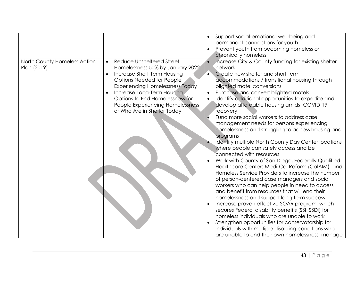|                                             |                                                                 | Support social-emotional well-being and<br>permanent connections for youth                      |
|---------------------------------------------|-----------------------------------------------------------------|-------------------------------------------------------------------------------------------------|
|                                             |                                                                 | Prevent youth from becoming homeless or                                                         |
|                                             | Reduce Unsheltered Street                                       | chronically homeless                                                                            |
| North County Homeless Action<br>Plan (2019) | $\bullet$<br>Homelessness 50% by January 2022                   | Increase City & County funding for existing shelter<br>network                                  |
|                                             | Increase Short-Term Housing                                     | Create new shelter and short-term                                                               |
|                                             | <b>Options Needed for People</b>                                |                                                                                                 |
|                                             | <b>Experiencing Homelessness Today</b>                          | accommodations / transitional housing through<br>blighted motel conversions                     |
|                                             |                                                                 | Purchase and convert blighted motels                                                            |
|                                             | Increase Long-Term Housing                                      |                                                                                                 |
|                                             | Options to End Homelessness for                                 | Identify additional opportunities to expedite and<br>develop affordable housing amidst COVID-19 |
|                                             | People Experiencing Homelessness<br>or Who Are in Shelter Today | recovery                                                                                        |
|                                             |                                                                 | Fund more social workers to address case                                                        |
|                                             |                                                                 | management needs for persons experiencing                                                       |
|                                             |                                                                 | homelessness and struggling to access housing and                                               |
|                                             |                                                                 | programs                                                                                        |
|                                             |                                                                 | Identify multiple North County Day Center locations                                             |
|                                             |                                                                 | where people can safely access and be                                                           |
|                                             |                                                                 | connected with resources                                                                        |
|                                             |                                                                 | Work with County of San Diego, Federally Qualified                                              |
|                                             |                                                                 | Healthcare Centers Medi-Cal Reform (CalAIM), and                                                |
|                                             |                                                                 | Homeless Service Providers to increase the number                                               |
|                                             |                                                                 | of person-centered case managers and social                                                     |
|                                             |                                                                 | workers who can help people in need to access                                                   |
|                                             |                                                                 | and benefit from resources that will end their                                                  |
|                                             |                                                                 | homelessness and support long-term success                                                      |
|                                             |                                                                 | Increase proven effective SOAR program, which                                                   |
|                                             |                                                                 | secures Federal disability benefits (SSI, SSDI) for                                             |
|                                             |                                                                 | homeless individuals who are unable to work                                                     |
|                                             |                                                                 | Strengthen opportunities for conservatorship for                                                |
|                                             |                                                                 | individuals with multiple disabling conditions who                                              |
|                                             |                                                                 | are unable to end their own homelessness, manage                                                |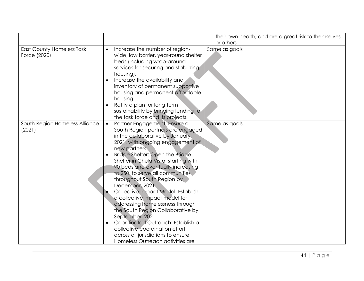|                                                  |                                                                                                                                                                                                                                                                                                                                                                                                                                                                                                                                                                                                                                                                                                     | their own health, and are a great risk to themselves<br>or others |
|--------------------------------------------------|-----------------------------------------------------------------------------------------------------------------------------------------------------------------------------------------------------------------------------------------------------------------------------------------------------------------------------------------------------------------------------------------------------------------------------------------------------------------------------------------------------------------------------------------------------------------------------------------------------------------------------------------------------------------------------------------------------|-------------------------------------------------------------------|
| <b>East County Homeless Task</b><br>Force (2020) | Increase the number of region-<br>$\bullet$<br>wide, low barrier, year-round shelter<br>beds (including wrap-around<br>services for securing and stabilizing<br>housing).<br>Increase the availability and<br>inventory of permanent supportive<br>housing and permanent affordable<br>housing.<br>Ratify a plan for long-term<br>sustainability by bringing funding to<br>the task force and its projects.                                                                                                                                                                                                                                                                                         | Same as goals                                                     |
| South Region Homeless Alliance<br>(2021)         | Partner Engagement: Ensure all<br>$\bullet$<br>South Region partners are engaged<br>in the collaborative by January,<br>2021, with ongoing engagement of<br>new partners.<br>Bridge Shelter: Open the Bridge<br>Shelter in Chula Vista, starting with<br>90 beds and eventually increasing<br>to 250, to serve all communities<br>throughout South Region by<br>December, 2021.<br>Collective Impact Model: Establish<br>a collective impact model for<br>addressing homelessness through<br>the South Region Collaborative by<br>September, 2021.<br>Coordinated Outreach: Establish a<br>collective coordination effort<br>across all jurisdictions to ensure<br>Homeless Outreach activities are | Same as goals.                                                    |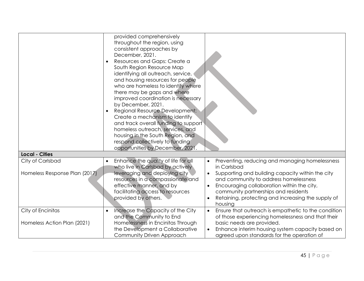|                                                   | provided comprehensively<br>throughout the region, using<br>consistent approaches by<br>December, 2021.<br>Resources and Gaps: Create a<br>South Region Resource Map<br>identifying all outreach, service,<br>and housing resources for people<br>who are homeless to identify where<br>there may be gaps and where<br>improved coordination is necessary<br>by December, 2021.<br>Regional Resource Development:<br>$\bullet$<br>Create a mechanism to identify<br>and track overall funding to support<br>homeless outreach, services, and<br>housing in the South Region, and<br>respond collectively to funding<br>opportunities by December, 2021. |                                                                                                                                                                                                                                                                                                                   |
|---------------------------------------------------|---------------------------------------------------------------------------------------------------------------------------------------------------------------------------------------------------------------------------------------------------------------------------------------------------------------------------------------------------------------------------------------------------------------------------------------------------------------------------------------------------------------------------------------------------------------------------------------------------------------------------------------------------------|-------------------------------------------------------------------------------------------------------------------------------------------------------------------------------------------------------------------------------------------------------------------------------------------------------------------|
| <b>Local - Cities</b>                             |                                                                                                                                                                                                                                                                                                                                                                                                                                                                                                                                                                                                                                                         |                                                                                                                                                                                                                                                                                                                   |
| City of Carlsbad<br>Homeless Response Plan (2017) | Enhance the quality of life for all<br>who live in Carlsbad by actively<br>leveraging and deploying city<br>resources in a compassionate and<br>effective manner, and by<br>facilitating access to resources<br>provided by others.                                                                                                                                                                                                                                                                                                                                                                                                                     | Preventing, reducing and managing homelessness<br>in Carlsbad<br>Supporting and building capacity within the city<br>and community to address homelessness<br>Encouraging collaboration within the city,<br>community partnerships and residents<br>Retaining, protecting and increasing the supply of<br>housing |
| City of Encinitas<br>Homeless Action Plan (2021)  | Increase the Capacity of the City<br>$\bullet$<br>and the Community to End<br>Homelessness in Encinitas Through<br>the Development a Collaborative<br>Community Driven Approach                                                                                                                                                                                                                                                                                                                                                                                                                                                                         | Ensure that outreach is empathetic to the condition<br>of those experiencing homelessness and that their<br>basic needs are provided.<br>Enhance interim housing system capacity based on<br>agreed upon standards for the operation of                                                                           |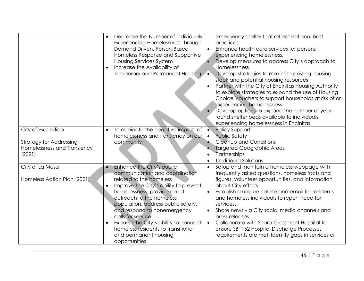|                                                     | Decrease the Number of Individuals<br>Experiencing Homelessness Through<br>Demand Driven, Person-Based<br>Homeless Response and Supportive<br><b>Housing Services System</b><br>Increase the Availability of<br>Temporary and Permanent Housing                                                                                                                                                                             | emergency shelter that reflect national best<br>practices<br>Enhance health care services for persons<br>experiencing homelessness.<br>Develop measures to address City's approach to<br>Homelessness<br>Develop strategies to maximize existing housing<br>stock and potential housing resources<br>Partner with the City of Encinitas Housing Authority<br>$\bullet$<br>to explore strategies to expand the use of Housing<br>Choice Vouchers to support households at risk of or<br>experiencing homelessness<br>Develop options to expand the number of year-<br>round shelter beds available to individuals<br>experiencing homelessness in Encinitas |
|-----------------------------------------------------|-----------------------------------------------------------------------------------------------------------------------------------------------------------------------------------------------------------------------------------------------------------------------------------------------------------------------------------------------------------------------------------------------------------------------------|------------------------------------------------------------------------------------------------------------------------------------------------------------------------------------------------------------------------------------------------------------------------------------------------------------------------------------------------------------------------------------------------------------------------------------------------------------------------------------------------------------------------------------------------------------------------------------------------------------------------------------------------------------|
| City of Escondido<br><b>Strategy for Addressing</b> | To eliminate the negative impact of<br>homelessness and transiency on our<br>community                                                                                                                                                                                                                                                                                                                                      | <b>Policy Support</b><br>$\bullet$<br><b>Public Safety</b><br>$\bullet$<br>Cleanup and Conditions                                                                                                                                                                                                                                                                                                                                                                                                                                                                                                                                                          |
| Homelessness and Transiency<br>(2021)               |                                                                                                                                                                                                                                                                                                                                                                                                                             | <b>Targeted Geographic Areas</b><br>Partnerships<br>$\bullet$<br><b>Traditional Solutions</b><br>$\bullet$                                                                                                                                                                                                                                                                                                                                                                                                                                                                                                                                                 |
| City of La Mesa<br>Homeless Action Plan (2021)      | Enhance the City's public<br>communication and coordination<br>related to the homeless<br>Improve the City's ability to prevent<br>$\bullet$<br>homelessness, provide direct<br>outreach to the homeless<br>population, address public safety,<br>and respond to nonemergency<br>calls for service.<br>Expand the City's ability to connect<br>homeless residents to transitional<br>and permanent housing<br>opportunities | Setup and maintain a homeless webpage with<br>frequently asked questions, homeless facts and<br>figures, volunteer opportunities, and information<br>about City efforts<br>Establish a unique hotline and email for residents<br>and homeless individuals to report need for<br>services.<br>Share news via City social media channels and<br>$\bullet$<br>press releases.<br>Collaborate with Sharp Grossmont Hospital to<br>$\bullet$<br>ensure SB1152 Hospital Discharge Processes<br>requirements are met. Identify gaps in services or                                                                                                                |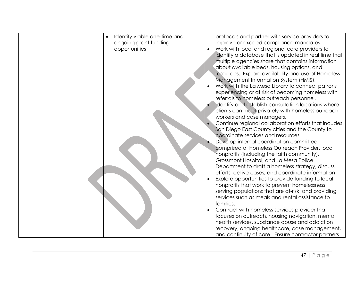| Identify viable one-time and | protocols and partner with service providers to       |
|------------------------------|-------------------------------------------------------|
| ongoing grant funding        | improve or exceed compliance mandates.                |
| opportunities                | Work with local and regional care providers to        |
|                              | identify a database that is updated in real time that |
|                              | multiple agencies share that contains information     |
|                              | about available beds, housing options, and            |
|                              | resources. Explore availability and use of Homeless   |
|                              | Management Information System (HMIS).                 |
|                              | Work with the La Mesa Library to connect patrons      |
|                              | experiencing or at risk of becoming homeless with     |
|                              | referrals to homeless outreach personnel.             |
|                              | Identify and establish consultation locations where   |
|                              | clients can meet privately with homeless outreach     |
|                              | workers and case managers.                            |
|                              | Continue regional collaboration efforts that incudes  |
|                              | San Diego East County cities and the County to        |
|                              | coordinate services and resources                     |
|                              | Develop internal coordination committee               |
|                              | comprised of Homeless Outreach Provider, local        |
|                              | nonprofits (including the faith community),           |
|                              | Grossmont Hospital, and La Mesa Police                |
|                              | Department to draft a homeless strategy, discuss      |
|                              | efforts, active cases, and coordinate information     |
|                              | Explore opportunities to provide funding to local     |
|                              | nonprofits that work to prevent homelessness;         |
|                              | serving populations that are at-risk, and providing   |
|                              | services such as meals and rental assistance to       |
|                              | families.                                             |
|                              | Contract with homeless services provider that         |
|                              | focuses on outreach, housing navigation, mental       |
|                              | health services, substance abuse and addiction        |
|                              | recovery, ongoing healthcare, case management,        |
|                              | and continuity of care. Ensure contractor partners    |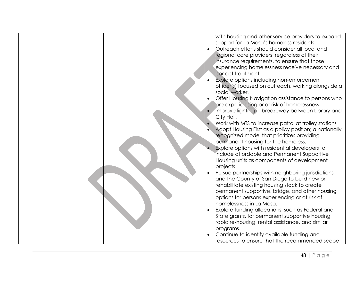| with housing and other service providers to expand     |
|--------------------------------------------------------|
| support for La Mesa's homeless residents.              |
| Outreach efforts should consider all local and         |
| regional care providers, regardless of their           |
| insurance requirements, to ensure that those           |
| experiencing homelessness receive necessary and        |
| correct treatment.                                     |
| Explore options including non-enforcement              |
| officer(s) focused on outreach, working alongside a    |
| social worker.                                         |
|                                                        |
| Offer Housing Navigation assistance to persons who     |
| are experiencing or at risk of homelessness.           |
| Improve lighting in breezeway between Library and      |
| City Hall.                                             |
| Work with MTS to increase patrol at trolley stations   |
| Adopt Housing First as a policy position; a nationally |
| recognized model that prioritizes providing            |
| permanent housing for the homeless.                    |
| Explore options with residential developers to         |
| include affordable and Permanent Supportive            |
| Housing units as components of development             |
| projects.                                              |
|                                                        |
| Pursue partnerships with neighboring jurisdictions     |
| and the County of San Diego to build new or            |
| rehabilitate existing housing stock to create          |
| permanent supportive, bridge, and other housing        |
| options for persons experiencing or at risk of         |
| homelessness in La Mesa.                               |
| Explore funding allocations, such as Federal and       |
| State grants, for permanent supportive housing,        |
| rapid re-housing, rental assistance, and similar       |
| programs.                                              |
| Continue to identify available funding and             |
|                                                        |
| resources to ensure that the recommended scope         |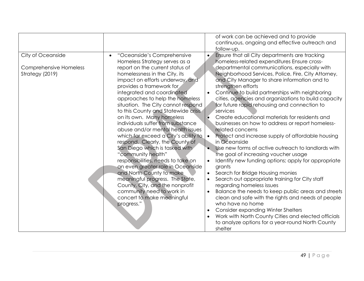| City of Oceanside<br>"Oceanside's Comprehensive<br>$\bullet$<br>Homeless Strategy serves as a<br>report on the current status of<br><b>Comprehensive Homeless</b><br>Strategy (2019)<br>homelessness in the City, its<br>impact on efforts underway, and<br>provides a framework for<br>integrated and coordinated<br>approaches to help the homeless<br>situation. The City cannot respond<br>to this County and Statewide crisis<br>on its own. Many homeless<br>individuals suffer from substance<br>abuse and/or mental health issues<br>which far exceed a City's ability to<br>$\bullet$<br>respond. Clearly, the County of<br>San Diego which is tasked with<br>"community health"<br>responsibilities, needs to take on<br>an even greater role in Oceanside<br>grants<br>and North County to make<br>meaningful progress. The State,<br>County, City, and the nonprofit<br>community need to work in<br>concert to make meaningful<br>progress."<br>$\bullet$<br>shelter | Ensure that all City departments are tracking<br>homeless-related expenditures Ensure cross-<br>departmental communications, especially with<br>Neighborhood Services, Police, Fire, City Attorney,<br>and City Manager to share information and to<br>strengthen efforts<br>Continue to build partnerships with neighboring<br>cities, agencies and organizations to build capacity<br>for future rapid rehousing and connection to<br>services<br>Create educational materials for residents and<br>businesses on how to address or report homeless-<br>related concerns<br>Protect and increase supply of affordable housing<br>in Oceanside<br>Use new forms of active outreach to landlords with<br>the goal of increasing voucher usage<br>Identify new funding options; apply for appropriate<br>Search for Bridge Housing monies<br>Search out appropriate training for City staff<br>regarding homeless issues<br>Balance the needs to keep public areas and streets<br>clean and safe with the rights and needs of people<br>who have no home<br><b>Consider expanding Winter Shelters</b><br>Work with North County Cities and elected officials<br>to analyze options for a year-round North County |
|-----------------------------------------------------------------------------------------------------------------------------------------------------------------------------------------------------------------------------------------------------------------------------------------------------------------------------------------------------------------------------------------------------------------------------------------------------------------------------------------------------------------------------------------------------------------------------------------------------------------------------------------------------------------------------------------------------------------------------------------------------------------------------------------------------------------------------------------------------------------------------------------------------------------------------------------------------------------------------------|-----------------------------------------------------------------------------------------------------------------------------------------------------------------------------------------------------------------------------------------------------------------------------------------------------------------------------------------------------------------------------------------------------------------------------------------------------------------------------------------------------------------------------------------------------------------------------------------------------------------------------------------------------------------------------------------------------------------------------------------------------------------------------------------------------------------------------------------------------------------------------------------------------------------------------------------------------------------------------------------------------------------------------------------------------------------------------------------------------------------------------------------------------------------------------------------------------------------|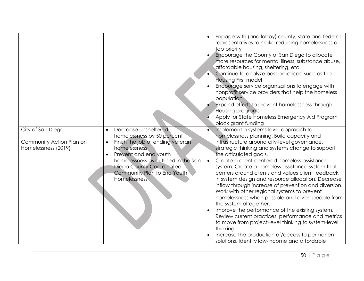|                          |                                                                |           | Engage with (and lobby) county, state and federal<br>representatives to make reducing homelessness a<br>top priority<br>Encourage the County of San Diego to allocate<br>more resources for mental illness, substance abuse,<br>affordable housing, sheltering, etc.<br>Continue to analyze best practices, such as the<br><b>Housing First model</b><br>Encourage service organizations to engage with<br>nonprofit service providers that help the homeless<br>population<br>Expand efforts to prevent homelessness through<br>Housing programs<br>Apply for State Homeless Emergency Aid Program<br>block grant funding |
|--------------------------|----------------------------------------------------------------|-----------|----------------------------------------------------------------------------------------------------------------------------------------------------------------------------------------------------------------------------------------------------------------------------------------------------------------------------------------------------------------------------------------------------------------------------------------------------------------------------------------------------------------------------------------------------------------------------------------------------------------------------|
| City of San Diego        | Decrease unsheltered<br>$\bullet$                              |           | Implement a systems-level approach to                                                                                                                                                                                                                                                                                                                                                                                                                                                                                                                                                                                      |
| Community Action Plan on | homelessness by 50 percent<br>Finish the job of ending veteran |           | homelessness planning. Build capacity and<br>infrastructure around city-level governance,                                                                                                                                                                                                                                                                                                                                                                                                                                                                                                                                  |
| Homelessness (2019)      | homelessness                                                   |           | strategic thinking and systems change to support                                                                                                                                                                                                                                                                                                                                                                                                                                                                                                                                                                           |
|                          | Prevent and end youth                                          |           | the articulated goals.                                                                                                                                                                                                                                                                                                                                                                                                                                                                                                                                                                                                     |
|                          | homelessness as outlined in the San                            | $\bullet$ | Create a client-centered homeless assistance                                                                                                                                                                                                                                                                                                                                                                                                                                                                                                                                                                               |
|                          | <b>Diego County Coordinated</b>                                |           | system. Create a homeless assistance system that                                                                                                                                                                                                                                                                                                                                                                                                                                                                                                                                                                           |
|                          | Community Plan to End Youth                                    |           | centers around clients and values client feedback                                                                                                                                                                                                                                                                                                                                                                                                                                                                                                                                                                          |
|                          | Homelessness                                                   |           | in system design and resource allocation. Decrease<br>inflow through increase of prevention and diversion.                                                                                                                                                                                                                                                                                                                                                                                                                                                                                                                 |
|                          |                                                                |           | Work with other regional systems to prevent                                                                                                                                                                                                                                                                                                                                                                                                                                                                                                                                                                                |
|                          |                                                                |           | homelessness when possible and divert people from                                                                                                                                                                                                                                                                                                                                                                                                                                                                                                                                                                          |
|                          |                                                                |           | the system altogether.                                                                                                                                                                                                                                                                                                                                                                                                                                                                                                                                                                                                     |
|                          |                                                                |           | Improve the performance of the existing system.                                                                                                                                                                                                                                                                                                                                                                                                                                                                                                                                                                            |
|                          |                                                                |           | Review current practices, performance and metrics                                                                                                                                                                                                                                                                                                                                                                                                                                                                                                                                                                          |
|                          |                                                                |           | to move from project-level thinking to system-level                                                                                                                                                                                                                                                                                                                                                                                                                                                                                                                                                                        |
|                          |                                                                |           | thinking.<br>Increase the production of/access to permanent                                                                                                                                                                                                                                                                                                                                                                                                                                                                                                                                                                |
|                          |                                                                |           | solutions. Identify low-income and affordable                                                                                                                                                                                                                                                                                                                                                                                                                                                                                                                                                                              |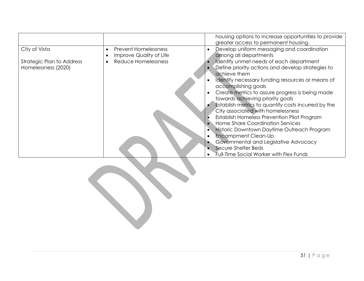|                           |                             | housing options to increase opportunities to provide<br>greater access to permanent housing. |
|---------------------------|-----------------------------|----------------------------------------------------------------------------------------------|
| City of Vista             | <b>Prevent Homelessness</b> | Develop uniform messaging and coordination                                                   |
|                           | Improve Quality of Life     | among all departments                                                                        |
| Strategic Plan to Address | Reduce Homelessness         | Identify unmet needs of each department                                                      |
| Homelessness (2020)       |                             | Define priority actions and develop strategies to                                            |
|                           |                             | achieve them                                                                                 |
|                           |                             | Identify necessary funding resources or means of                                             |
|                           |                             | accomplishing goals                                                                          |
|                           |                             | Create metrics to assure progress is being made                                              |
|                           |                             | towards achieving priority goals                                                             |
|                           |                             | Establish metrics to quantify costs incurred by the                                          |
|                           |                             | City associated with homelessness                                                            |
|                           |                             | Establish Homeless Prevention Pilot Program                                                  |
|                           |                             | Home Share Coordination Services                                                             |
|                           |                             | <b>Historic Downtown Daytime Outreach Program</b>                                            |
|                           |                             | <b>Encampment Clean-Up</b>                                                                   |
|                           |                             | Governmental and Legislative Advocacy                                                        |
|                           |                             | Secure Shelter Beds                                                                          |
|                           |                             | <b>Full-Time Social Worker with Flex Funds</b>                                               |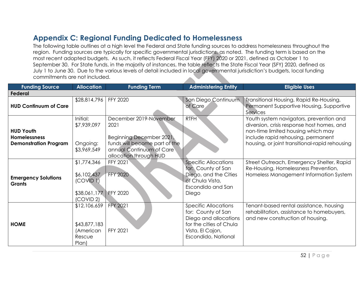# **Appendix C: Regional Funding Dedicated to Homelessness**

The following table outlines at a high level the Federal and State funding sources to address homelessness throughout the region. Funding sources are typically for specific governmental jurisdictions, as noted. The funding term is based on the most recent adopted budgets. As such, it reflects Federal Fiscal Year (FFY) 2020 or 2021, defined as October 1 to September 30. For State funds, in the majority of instances, the table reflects the State Fiscal Year (SFY) 2020, defined as July 1 to June 30. Due to the various levels of detail included in local governmental jurisdiction's budgets, local funding commitments are not included.

| <b>Funding Source</b>                                                   | <b>Allocation</b>                                                             | <b>Funding Term</b>                                                                                                                               | <b>Administering Entity</b>                                                                                                                      | <b>Eligible Uses</b>                                                                                                                                                                                                |
|-------------------------------------------------------------------------|-------------------------------------------------------------------------------|---------------------------------------------------------------------------------------------------------------------------------------------------|--------------------------------------------------------------------------------------------------------------------------------------------------|---------------------------------------------------------------------------------------------------------------------------------------------------------------------------------------------------------------------|
| <b>Federal</b>                                                          |                                                                               |                                                                                                                                                   |                                                                                                                                                  |                                                                                                                                                                                                                     |
| <b>HUD Continuum of Care</b>                                            | \$28,814,796                                                                  | FFY 2020                                                                                                                                          | San Diego Continuum<br>of Care                                                                                                                   | Transitional Housing, Rapid Re-Housing,<br>Permanent Supportive Housing, Supportive<br>Services                                                                                                                     |
| <b>HUD Youth</b><br><b>Homelessness</b><br><b>Demonstration Program</b> | Initial:<br>\$7,939,097<br>Ongoing:<br>\$3,969,549                            | December 2019-November<br>2021<br>Beginning December 2021,<br>funds will become part of the<br>annual Continuum of Care<br>allocation through HUD | <b>RTFH</b>                                                                                                                                      | Youth system navigators, prevention and<br>diversion, crisis response host homes, and<br>non-time limited housing which may<br>include rapid rehousing, permanent<br>housing, or joint transitional-rapid rehousing |
| <b>Emergency Solutions</b><br><b>Grants</b>                             | \$1,774,346<br>\$6,102,437<br>(COVID I)<br>\$38,061,177 FFY 2020<br>(COVID 2) | FFY 2021<br><b>FFY 2020</b>                                                                                                                       | <b>Specific Allocations</b><br>for: County of San<br>Diego, and the Cities<br>of Chula Vista,<br>Escondido and San<br>Diego                      | Street Outreach, Emergency Shelter, Rapid<br>Re-Housing, Homelessness Prevention,<br>Homeless Management Information System                                                                                         |
| <b>HOME</b>                                                             | \$12,106,659<br>\$43,877,183<br>(American<br>Rescue<br>Plan)                  | <b>FFY 2021</b><br>FFY 2021                                                                                                                       | <b>Specific Allocations</b><br>for: County of San<br>Diego and allocations<br>for the cities of Chula<br>Vista, El Cajon,<br>Escondido, National | Tenant-based rental assistance, housing<br>rehabilitation, assistance to homebuyers,<br>and new construction of housing.                                                                                            |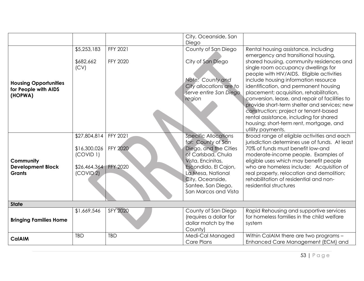|                                                        |                           |                 | City, Oceanside, San                                                 |                                                                                                                                                                      |
|--------------------------------------------------------|---------------------------|-----------------|----------------------------------------------------------------------|----------------------------------------------------------------------------------------------------------------------------------------------------------------------|
|                                                        |                           |                 | Diego                                                                |                                                                                                                                                                      |
|                                                        | \$5,253,183               | FFY 2021        | County of San Diego                                                  | Rental housing assistance, including<br>emergency and transitional housing,                                                                                          |
|                                                        | \$682,662<br>(CV)         | <b>FFY 2020</b> | City of San Diego<br>Note: County and                                | shared housing, community residences and<br>single room occupancy dwellings for<br>people with HIV/AIDS. Eligible activities<br>include housing information resource |
| <b>Housing Opportunities</b><br>for People with AIDS   |                           |                 | City allocations are to                                              | identification, and permanent housing                                                                                                                                |
| (HOPWA)                                                |                           |                 | serve entire San Diego<br>region                                     | placement; acquisition, rehabilitation,<br>conversion, lease, and repair of facilities to                                                                            |
|                                                        |                           |                 |                                                                      | provide short-term shelter and services; new<br>construction; project or tenant-based                                                                                |
|                                                        |                           |                 |                                                                      | rental assistance, including for shared<br>housing; short-term rent, mortgage, and<br>utility payments.                                                              |
|                                                        | \$27,804,814              | FFY 2021        | <b>Specific Allocations</b><br>for: County of San                    | Broad range of eligible activities and each<br>jurisdiction determines use of funds. At least                                                                        |
|                                                        | \$16,300,026<br>(COVID 1) | <b>FFY 2020</b> | Diego, and the Cities<br>of Carlsbad, Chula                          | 70% of funds must benefit low-and<br>moderate-income people. Examples of                                                                                             |
| Community<br><b>Development Block</b><br><b>Grants</b> | \$26,464,364<br>(COVID 2) | <b>FFY 2020</b> | Vista, Encinitas,<br>Escondido, El Cajon,<br>La Mesa, National       | eligible uses which may benefit people<br>who are homeless include: Acquisition of<br>real property, relocation and demolition;                                      |
|                                                        |                           |                 | City, Oceanside,<br>Santee, San Diego,                               | rehabilitation of residential and non-<br>residential structures                                                                                                     |
|                                                        |                           |                 | San Marcos and Vista                                                 |                                                                                                                                                                      |
| <b>State</b>                                           |                           |                 |                                                                      |                                                                                                                                                                      |
| <b>Bringing Families Home</b>                          | \$1,669,546               | <b>SFY 2020</b> | County of San Diego<br>(requires a dollar for<br>dollar match by the | Rapid Rehousing and supportive services<br>for homeless families in the child welfare<br>system                                                                      |
|                                                        |                           |                 | County)                                                              |                                                                                                                                                                      |
| <b>CalAIM</b>                                          | <b>TBD</b>                | <b>TBD</b>      | Medi-Cal Managed<br>Care Plans                                       | Within CalAIM there are two programs -<br>Enhanced Care Management (ECM) and                                                                                         |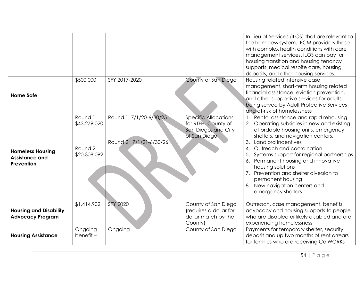|                                                                |                                                      |                                                    |                                                                                           | In Lieu of Services (ILOS) that are relevant to<br>the homeless system. ECM providers those<br>with complex health conditions with care<br>management services. ILOS can pay for<br>housing transition and housing tenancy<br>supports, medical respite care, housing<br>deposits, and other housing services.                                                                                                                                                       |
|----------------------------------------------------------------|------------------------------------------------------|----------------------------------------------------|-------------------------------------------------------------------------------------------|----------------------------------------------------------------------------------------------------------------------------------------------------------------------------------------------------------------------------------------------------------------------------------------------------------------------------------------------------------------------------------------------------------------------------------------------------------------------|
| <b>Home Safe</b>                                               | \$500,000                                            | SFY 2017-2020                                      | County of San Diego                                                                       | Housing related intensive case<br>management, short-term housing related<br>financial assistance, eviction prevention,<br>and other supportive services for adults<br>being served by Adult Protective Services<br>and at-risk of homelessness                                                                                                                                                                                                                       |
| <b>Homeless Housing</b><br><b>Assistance and</b><br>Prevention | Round 1:<br>\$43,279,020<br>Round 2:<br>\$20,308,092 | Round 1: 7/1/20-6/30/25<br>Round 2: 7/1/21-6/30/26 | <b>Specific Allocations</b><br>for RTFH, County of<br>San Diego, and City<br>of San Diego | Rental assistance and rapid rehousing<br>2. Operating subsidies in new and existing<br>affordable housing units, emergency<br>shelters, and navigation centers.<br>Landlord incentives<br>3.<br>Outreach and coordination<br>4.<br>5.<br>Systems support for regional partnerships<br>6. Permanent housing and innovative<br>housing solutions<br>7. Prevention and shelter diversion to<br>permanent housing<br>8. New navigation centers and<br>emergency shelters |
| <b>Housing and Disability</b><br><b>Advocacy Program</b>       | \$1,414,902                                          | <b>SFY 2020</b>                                    | County of San Diego<br>(requires a dollar for<br>dollar match by the<br>County)           | Outreach, case management, benefits<br>advocacy and housing supports to people<br>who are disabled or likely disabled and are<br>experiencing homelessness                                                                                                                                                                                                                                                                                                           |
| <b>Housing Assistance</b>                                      | Ongoing<br>benefit-                                  | Ongoing                                            | County of San Diego                                                                       | Payments for temporary shelter, security<br>deposit and up two months of rent arrears<br>for families who are receiving CalWORKs                                                                                                                                                                                                                                                                                                                                     |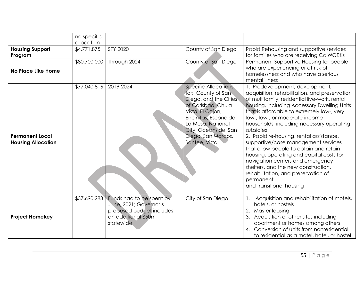|                                                     | no specific<br>allocation |                                                                                                                    |                                                                                                                                                                                                                                   |                                                                                                                                                                                                                                                                                                                                                                                                                                                                                                                                                                                                                                                               |
|-----------------------------------------------------|---------------------------|--------------------------------------------------------------------------------------------------------------------|-----------------------------------------------------------------------------------------------------------------------------------------------------------------------------------------------------------------------------------|---------------------------------------------------------------------------------------------------------------------------------------------------------------------------------------------------------------------------------------------------------------------------------------------------------------------------------------------------------------------------------------------------------------------------------------------------------------------------------------------------------------------------------------------------------------------------------------------------------------------------------------------------------------|
| <b>Housing Support</b><br>Program                   | \$4,771,875               | SFY 2020                                                                                                           | County of San Diego                                                                                                                                                                                                               | Rapid Rehousing and supportive services<br>for families who are receiving CalWORKs                                                                                                                                                                                                                                                                                                                                                                                                                                                                                                                                                                            |
| No Place Like Home                                  | \$80,700,000              | Through 2024                                                                                                       | County of San Diego                                                                                                                                                                                                               | Permanent Supportive Housing for people<br>who are experiencing or at-risk of<br>homelessness and who have a serious<br>mental illness                                                                                                                                                                                                                                                                                                                                                                                                                                                                                                                        |
| <b>Permanent Local</b><br><b>Housing Allocation</b> | \$77,040,816              | 2019-2024                                                                                                          | <b>Specific Allocations</b><br>for: County of San<br>Diego, and the Cities<br>of Carlsbad, Chula<br>Vista, El Cajon,<br>Encinitas, Escondido,<br>La Mesa, National<br>City, Oceanside, San<br>Diego, San Marcos,<br>Santee, Vista | 1. Predevelopment, development,<br>acquisition, rehabilitation, and preservation<br>of multifamily, residential live-work, rental<br>housing, including Accessory Dwelling Units<br>that is affordable to extremely low-, very<br>low-, low-, or moderate income<br>households, including necessary operating<br>subsidies<br>2. Rapid re-housing, rental assistance,<br>supportive/case management services<br>that allow people to obtain and retain<br>housing, operating and capital costs for<br>navigation centers and emergency<br>shelters, and the new construction,<br>rehabilitation, and preservation of<br>permanent<br>and transitional housing |
| <b>Project Homekey</b>                              | \$37,690,283              | Funds had to be spent by<br>June, 2021; Governor's<br>proposed budget includes<br>an additional \$50m<br>statewide | City of San Diego                                                                                                                                                                                                                 | Acquisition and rehabilitation of motels,<br>hotels, or hostels<br>Master leasing<br>Acquisition of other sites including<br>apartment or homes among others<br>Conversion of units from nonresidential<br>$\mathbf{A}$ .<br>to residential as a motel, hotel, or hostel                                                                                                                                                                                                                                                                                                                                                                                      |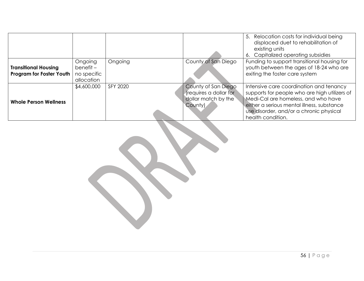|                                                                |                                                      |          |                                                                                 | 5. Relocation costs for individual being<br>displaced duet to rehabilitation of<br>existing units<br>6. Capitalized operating subsidies                                                                                                       |
|----------------------------------------------------------------|------------------------------------------------------|----------|---------------------------------------------------------------------------------|-----------------------------------------------------------------------------------------------------------------------------------------------------------------------------------------------------------------------------------------------|
| <b>Transitional Housing</b><br><b>Program for Foster Youth</b> | Ongoing<br>$b$ enefit –<br>no specific<br>allocation | Ongoing  | County of San Diego                                                             | Funding to support transitional housing for<br>youth between the ages of 18-24 who are<br>exiting the foster care system                                                                                                                      |
| <b>Whole Person Wellness</b>                                   | \$4,600,000                                          | SFY 2020 | County of San Diego<br>(requires a dollar for<br>dollar match by the<br>County) | Intensive care coordination and tenancy<br>supports for people who are high utilizers of<br>Medi-Cal are homeless, and who have<br>either a serious mental illness, substance<br>use disorder, and/or a chronic physical<br>health condition. |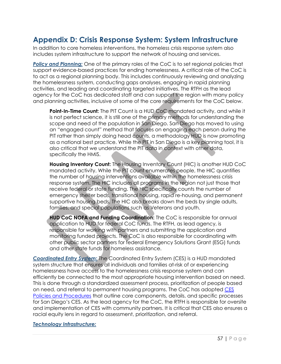# **Appendix D: Crisis Response System: System Infrastructure**

In addition to core homeless interventions, the homeless crisis response system also includes system infrastructure to support the network of housing and services.

*Policy and Planning:* One of the primary roles of the CoC is to set regional policies that support evidence-based practices for ending homelessness. A critical role of the CoC is to act as a regional planning body. This includes continuously reviewing and analyzing the homelessness system, conducting gaps analyses, engaging in rapid planning activities, and leading and coordinating targeted initiatives. The RTFH as the lead agency for the CoC has dedicated staff and can support the region with many policy and planning activities, inclusive of some of the core requirements for the CoC below.

**Point-In-Time Count:** The PIT Count is a HUD CoC mandated activity, and while it is not perfect science, it is still one of the primary methods for understanding the scope and need of the population in San Diego. San Diego has moved to using an "engaged count" method that focuses on engaging each person during the PIT rather than simply doing head counts, a methodology HUD is now promoting as a national best practice. While the PIT in San Diego is a key planning tool, it is also critical that we understand the PIT data in context with other data, specifically the HMIS.

**Housing Inventory Count:** The Housing Inventory Count (HIC) is another HUD CoC mandated activity. While the PIT count enumerates people, the HIC quantifies the number of housing interventions available within the homelessness crisis response system. The HIC includes all programs in the region not just those that receive federal or state funding. The HIC specifically counts the number of emergency shelter beds, transitional housing, rapid re-housing, and permanent supportive housing beds. The HIC also breaks down the beds by single adults, families, and special populations such as Veterans and youth.

**HUD CoC NOFA and Funding Coordination:** The CoC is responsible for annual application to HUD for federal CoC funds. The RTFH, as lead agency, is responsible for working with partners and submitting the application and monitoring funded projects. The CoC is also responsible for coordinating with other public sector partners for federal Emergency Solutions Grant (ESG) funds and other state funds for homeless assistance.

*Coordinated Entry System:* The Coordinated Entry System (CES) is a HUD mandated system structure that ensures all individuals and families at-risk of or experiencing homelessness have access to the homelessness crisis response system and can efficiently be connected to the most appropriate housing intervention based on need. This is done through a standardized assessment process, prioritization of people based on need, and referral to permanent housing programs. The CoC has adopted CES Policies and Procedures that outline core components, details, and specific processes for San Diego's CES. As the lead agency for the CoC, the RTFH is responsible for oversite and implementation of CES with community partners. It is critical that CES also ensures a racial equity lens in regard to assessment, prioritization, and referral.

#### *Technology Infrastructure:*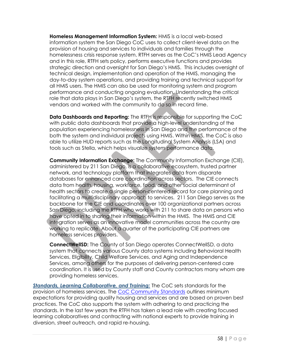**Homeless Management Information System:** HMIS is a local web-based information system the San Diego CoC uses to collect client-level data on the provision of housing and services to individuals and families through the homelessness crisis response system. RTFH serves as the CoC's HMIS Lead Agency and in this role, RTFH sets policy, performs executive functions and provides strategic direction and oversight for San Diego's HMIS. This includes oversight of technical design, implementation and operation of the HMIS, managing the day-to-day system operations, and providing training and technical support for all HMIS users. The HMIS can also be used for monitoring system and program performance and conducting ongoing evaluation. Understanding the critical role that data plays in San Diego's system, the RTFH recently switched HMIS vendors and worked with the community to do so in record time.

**Data Dashboards and Reporting:** The RTFH is responsible for supporting the CoC with public data dashboards that provide a high-level understanding of the population experiencing homelessness in San Diego and the performance of the both the system and individual projects using HMIS. Within HMIS, the CoC is also able to utilize HUD reports such as the Longitudinal System Analysis (LSA) and tools such as Stella, which helps visualize system performance data.

**Community Information Exchange:** The Community Information Exchange (CIE), administered by 211 San Diego, is a collaborative ecosystem, trusted partner network, and technology platform that integrates data from disparate databases for enhanced care coordination across sectors. The CIE connects data from health, housing, workforce, food, and other social determinant of health sectors to create a single person-centered record for care planning and facilitating a multidisciplinary approach to services. 211 San Diego serves as the backbone for the CIE and coordinates over 100 organizational partners across San Diego, including the RTFH who works with 211 to share data on persons who have opted in to sharing their information within the HMIS. The HMIS and CIE integration serves as an innovative model communities across the country are working to replicate. About a quarter of the participating CIE partners are homeless services providers.

**ConnectWellSD:** The County of San Diego operates ConnectWellSD, a data system that connects various County data systems including Behavioral Health Services, Eligibility, Child Welfare Services, and Aging and Independence Services, among others for the purposes of delivering person-centered care coordination. It is used by County staff and County contractors many whom are providing homeless services.

*Standards, Learning Collaborative, and Training:* The CoC sets standards for the provision of homeless services. The CoC Community Standards outlines minimum expectations for providing quality housing and services and are based on proven best practices. The CoC also supports the system with adhering to and practicing the standards. In the last few years the RTFH has taken a lead role with creating focused learning collaboratives and contracting with national experts to provide training in diversion, street outreach, and rapid re-housing.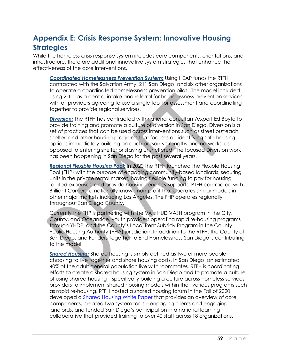# **Appendix E: Crisis Response System: Innovative Housing Strategies**

While the homeless crisis response system includes core components, orientations, and infrastructure, there are additional innovative system strategies that enhance the effectiveness of the core interventions.

*Coordinated Homelessness Prevention System:* Using HEAP funds the RTFH contracted with the Salvation Army, 211 San Diego, and six other organizations to operate a coordinated homelessness prevention pilot. The model included using 2-1-1 as a central intake and referral for homelessness prevention services with all providers agreeing to use a single tool for assessment and coordinating together to provide regional services.

*Diversion:* The RTFH has contracted with national consultant/expert Ed Boyte to provide training and promote a culture of diversion in San Diego. Diversion is a set of practices that can be used across interventions such as street outreach, shelter, and other housing programs that focuses on identifying safe housing options immediately building on each person's strengths and networks, as opposed to entering shelter or staying unsheltered. The focused Diversion work has been happening in San Diego for the past several years.

*Regional Flexible Housing Pool:* In 2020 the RTFH launched the Flexible Housing Pool (FHP) with the purpose of engaging community-based landlords, securing units in the private rental market, having flexible funding to pay for housing related expenses, and provide housing tenancy supports. RTFH contracted with Brilliant Corners, a nationally known non-profit that operates similar models in other major markets including Los Angeles. The FHP operates regionally throughout San Diego County.

Currently the FHP is partnering with the VA's HUD VASH program in the City, County, and Oceanside, youth providers operating rapid re-housing programs through YHDP, and the County's Local Rent Subsidy Program in the County Public Housing Authority (PHA) jurisdiction. In addition to the RTFH, the County of San Diego, and Funders Together to End Homelessness San Diego is contributing to the model.

*Shared Housing:* Shared housing is simply defined as two or more people choosing to live together and share housing costs. In San Diego, an estimated 40% of the adult general population live with roommates. RTFH is coordinating efforts to create a shared housing system in San Diego and to promote a culture of using shared housing – specifically building a culture across homeless services providers to implement shared housing models within their various programs such as rapid re-housing. RTFH hosted a shared housing forum in the Fall of 2020, developed a Shared Housing White Paper that provides an overview of core components, created two system tools – engaging clients and engaging landlords, and funded San Diego's participation in a national learning collaborative that provided training to over 40 staff across 18 organizations.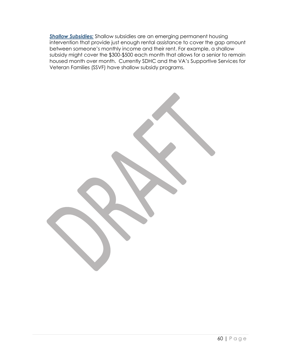*Shallow Subsidies:* Shallow subsidies are an emerging permanent housing intervention that provide just enough rental assistance to cover the gap amount between someone's monthly income and their rent. For example, a shallow subsidy might cover the \$300-\$500 each month that allows for a senior to remain housed month over month. Currently SDHC and the VA's Supportive Services for Veteran Families (SSVF) have shallow subsidy programs.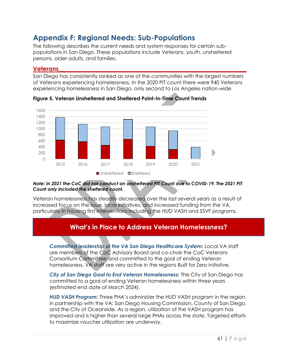# **Appendix F: Regional Needs: Sub-Populations**

The following describes the current needs and system responses for certain subpopulations in San Diego. These populations include Veterans, youth, unsheltered persons, older adults, and families.

## **Veterans\_\_\_\_\_\_\_\_\_\_\_\_\_\_\_\_\_\_\_\_\_\_\_\_\_\_\_\_\_\_\_\_\_\_\_\_\_\_\_\_\_\_\_\_\_\_\_\_\_\_\_\_\_\_\_\_\_\_\_\_\_\_\_**

San Diego has consistently ranked as one of the communities with the largest numbers of Veterans experiencing homelessness. In the 2020 PIT count there were 940 Veterans experiencing homelessness in San Diego, only second to Los Angeles nation-wide



**Figure 5. Veteran Unsheltered and Sheltered Point-In-Time Count Trends**

#### *Note: In 2021 the CoC did not conduct an unsheltered PIT Count due to COVID-19. The 2021 PIT Count only included the sheltered count.*

Veteran homelessness has steadily decreased over the last several years as a result of increased focus on the issue, local initiatives, and increased funding from the VA, particularly in housing first interventions including the HUD VASH and SSVF programs.

## **What's in Place to Address Veteran Homelessness?**

*Committed leadership at the VA San Diego Healthcare System:* Local VA staff are members of the CoC Advisory Board and co-chair the CoC Veterans Consortium Committee and committed to the goal of ending Veteran homelessness. VA staff are very active in the regions Built for Zero initiative.

*City of San Diego Goal to End Veteran Homelessness:* The City of San Diego has committed to a goal of ending Veteran homelessness within three years (estimated end date of March 2024).

*HUD VASH Program:* Three PHA's administer the HUD VASH program in the region in partnership with the VA: San Diego Housing Commission, County of San Diego, and the City of Oceanside. As a region, utilization of the VASH program has improved and is higher than several large PHAs across the state. Targeted efforts to maximize voucher utilization are underway.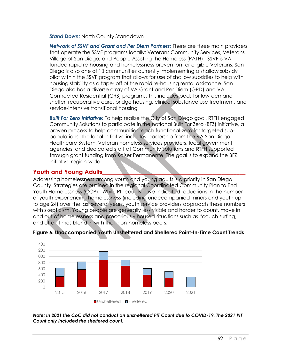*Stand Down:* North County Standdown

*Network of SSVF and Grant and Per Diem Partners:* There are three main providers that operate the SSVF programs locally: Veterans Community Services, Veterans Village of San Diego, and People Assisting the Homeless (PATH). SSVF is VA funded rapid re-housing and homelessness prevention for eligible Veterans. San Diego is also one of 13 communities currently implementing a shallow subsidy pilot within the SSVF program that allows for use of shallow subsidies to help with housing stability as a taper off of the rapid re-housing rental assistance. San Diego also has a diverse array of VA Grant and Per Diem (GPD) and VA Contracted Residential (CRS) programs. This includes beds for low-demand shelter, recuperative care, bridge housing, clinical substance use treatment, and service-intensive transitional housing

*Built For Zero Initiative:* To help realize the City of San Diego goal, RTFH engaged Community Solutions to participate in the national Built For Zero (BFZ) initiative, a proven process to help communities reach functional-zero for targeted subpopulations. The local initiative includes leadership from the VA San Diego Healthcare System, Veteran homeless services providers, local government agencies, and dedicated staff at Community Solutions and RTFH supported through grant funding from Kaiser Permanente. The goal is to expand the BFZ initiative region-wide.

## Youth and Young Adults

Addressing homelessness among youth and young adults is a priority in San Diego County. Strategies are outlined in the regional Coordinated Community Plan to End Youth Homelessness (CCP). While PIT counts have indicated reductions in the number of youth experiencing homelessness (including unaccompanied minors and youth up to age 24) over the last several years, youth service providers approach these numbers with skepticism. Young people are generally less visible and harder to count, move in and out of homelessness and precariously housed situations such as "couch surfing," and often times blend in with their non-homeless peers.





*Note: In 2021 the CoC did not conduct an unsheltered PIT Count due to COVID-19. The 2021 PIT Count only included the sheltered count.*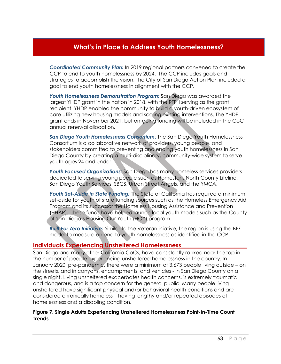## **What's in Place to Address Youth Homelessness?**

*Coordinated Community Plan:* In 2019 regional partners convened to create the CCP to end to youth homelessness by 2024. The CCP includes goals and strategies to accomplish the vision. The City of San Diego Action Plan included a goal to end youth homelessness in alignment with the CCP.

*Youth Homelessness Demonstration Program:* San Diego was awarded the largest YHDP grant in the nation in 2018, with the RTFH serving as the grant recipient. YHDP enabled the community to build a youth-driven ecosystem of care utilizing new housing models and scaling existing interventions. The YHDP grant ends in November 2021, but on-going funding will be included in the CoC annual renewal allocation.

*San Diego Youth Homelessness Consortium*: The San Diego Youth Homelessness Consortium is a collaborative network of providers, young people, and stakeholders committed to preventing and ending youth homelessness in San Diego County by creating a multi-disciplinary, community-wide system to serve youth ages 24 and under.

*Youth Focused Organizations:* San Diego has many homeless services providers dedicated to serving young people such as Homestart, North County Lifeline, San Diego Youth Services, SBCS, Urban Street Angels, and the YMCA.

*Youth Set-Aside in State Funding:* The State of California has required a minimum set-aside for youth of state funding sources such as the Homeless Emergency Aid Program and its successor the Homeless Housing Assistance and Prevention (HHAP). These funds have helped launch local youth models such as the County of San Diego's Housing Our Youth (HOY) program.

*Built For Zero Initiative:* Similar to the Veteran iniative, the region is using the BFZ model to measure an end to youth homelessness as identified in the CCP.

#### **Individuals Experiencing Unsheltered Homelessness\_\_\_\_\_\_\_\_\_\_\_\_\_\_\_\_\_\_\_\_\_\_**

San Diego and many other California CoCs, have consistently ranked near the top in the number of people experiencing unsheltered homelessness in the country. In January 2020, pre-pandemic, there were a minimum of 3,673 people living outside – on the streets, and in canyons, encampments, and vehicles - in San Diego County on a single night. Living unsheltered exacerbates health concerns, is extremely traumatic and dangerous, and is a top concern for the general public. Many people living unsheltered have significant physical and/or behavioral health conditions and are considered chronically homeless – having lengthy and/or repeated episodes of homelessness and a disabling condition.

#### **Figure 7. Single Adults Experiencing Unsheltered Homelessness Point-In-Time Count Trends**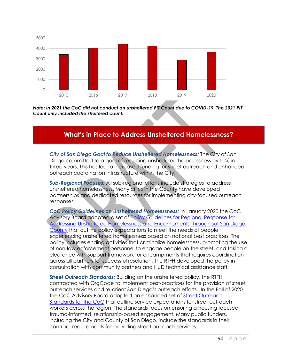

*Note: In 2021 the CoC did not conduct an unsheltered PIT Count due to COVID-19. The 2021 PIT Count only included the sheltered count.* 

## **What's in Place to Address Unsheltered Homelessness?**

*City of San Diego Goal to Reduce Unsheltered Homelessness:* The City of San Diego committed to a goal of reducing unsheltered homelessness by 50% in three years. This has led to increased funding for street outreach and enhanced outreach coordination infrastructure within the City.

*Sub-Regional Focuses:* All sub-regional efforts include strategies to address unsheltered homelessness. Many cities in the County have developed partnerships and dedicated resources for implementing city-focused outreach responses.

*CoC Policy Guidelines on Unsheltered Homelessness:* In January 2020 the CoC Advisory Board adopted a set of Policy Guidelines for Regional Response for Addressing Unsheltered Homelessness and Encampments Throughout San Diego County that outline policy expectations to meet the needs of people experiencing unsheltered homelessness based on national best practices. The policy includes ending activities that criminalize homelessness, promoting the use of non-law enforcement personnel to engage people on the street, and taking a clearance with support framework for encampments that requires coordination across all partners for successful resolution. The RTFH developed the policy in consultation with community partners and HUD technical assistance staff.

*Street Outreach Standards:* Building on the unsheltered policy, the RTFH contracted with OrgCode to implement best-practices for the provision of street outreach services and re-orient San Diego's outreach efforts.In the Fall of 2020 the CoC Advisory Board adopted an enhanced set of Street Outreach Standards for the CoC that outline service expectations for street outreach workers across the region. The standards focus on ensuring a housing focused, trauma-informed, relationship-based engagement. Many public funders, including the City and County of San Diego, include the standards in their contract requirements for providing street outreach services.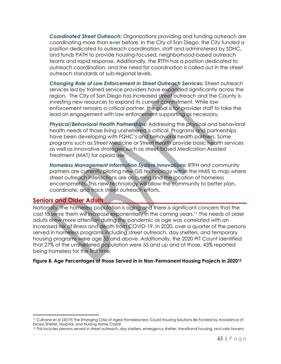*Coordinated Street Outreach:* Organizations providing and funding outreach are coordinating more than ever before. In the City of San Diego, the City funded a position dedicated to outreach coordination, staff and administered by SDHC, and funds PATH to provide housing-focused, neighborhood-based outreach teams and rapid response. Additionally, the RTFH has a position dedicated to outreach coordination, and the need for coordination is called out in the street outreach standards at sub-regional levels.

*Changing Role of Law Enforcement in Street Outreach Services:* Street outreach services led by trained service providers have expanded significantly across the region. The City of San Diego has increased street outreach and the County is investing new resources to expand its current commitment. While law enforcement remains a critical partner, the goal is for provider staff to take the lead on engagement with law enforcement supporting as necessary.

*Physical/Behavioral Health Partnerships:* Addressing the physical and behavioral health needs of those living unsheltered is critical. Programs and partnerships have been developing with FQHC's and behavioral health partners. Some programs such as Street Medicine or Street Health provide basic health services as well as innovative strategies such as street-based Medication Assisted Treatment (MAT) for opioid use.

*Homeless Management Information System Innovations:* RTFH and community partners are currently piloting new GIS technology within the HMIS to map where street outreach interactions are occurring and the location of homeless encampments. This new technology will allow the community to better plan, coordinate, and track street outreach efforts.

## **Seniors and Older Adults\_\_\_\_\_\_\_\_\_\_\_\_\_\_\_\_\_\_\_\_\_\_\_\_\_\_\_\_\_\_\_\_\_\_\_\_\_\_\_\_\_\_\_\_\_\_\_\_**

 $\overline{a}$ 

Nationally, the homeless population is aging and there is significant concern that the cost to serve them will increase exponentially in the coming years.<sup>11</sup> The needs of older adults drew more attention during the pandemic as age was correlated with an increased risk of illness and death from COVID-19. In 2020, over a quarter of the persons served in homeless programs including street outreach, day shelters, and temporary housing programs were age 55 and above. Additionally, the 2020 PIT Count identified that 27% of the unsheltered population were 55 and up and of those, 43% reported being homeless for the first time.

#### **Figure 8. Age Percentages of those Served in in Non-Permanent Housing Projects in 2020<sup>12</sup>**

<sup>11</sup> Culhane et al (2019) The Emerging Crisis of Aged Homelessness: Could Housing Solutions Be Funded by Avoidance of Excess Shelter, Hospital, and Nursing Home Costs?

<sup>&</sup>lt;sup>12</sup> This includes persons served in street outreach, day shelters, emergency shelter, transitional housing, and safe havens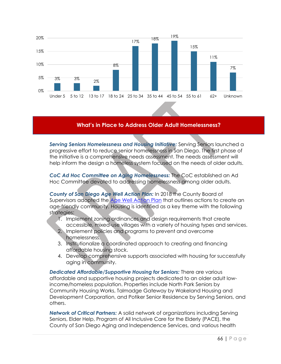

#### **What's in Place to Address Older Adult Homelessness?**

*Serving Seniors Homelessness and Housing Initiative:* Serving Seniors launched a progressive effort to reduce senior homelessness in San Diego. The first phase of the initiative is a comprehensive needs assessment. The needs assessment will help inform the design a homeless system focused on the needs of older adults.

*CoC Ad Hoc Committee on Aging Homelessness:* The CoC established an Ad Hoc Committee devoted to addressing homelessness among older adults.

*County of San Diego Age Well Action Plan:* In 2018 the County Board of Supervisors adopted the Age Well Action Plan that outlines actions to create an age-friendly community. Housing is identified as a key theme with the following strategies:

- 1. Implement zoning ordinances and design requirements that create accessible, mixed-use villages with a variety of housing types and services.
- 2. Implement policies and programs to prevent and overcome homelessness.
- 3. Institutionalize a coordinated approach to creating and financing affordable housing stock.
- 4. Develop comprehensive supports associated with housing for successfully aging in community.

*Dedicated Affordable/Supportive Housing for Seniors:* There are various affordable and supportive housing projects dedicated to an older adult lowincome/homeless population. Properties include North Park Seniors by Community Housing Works, Talmadge Gateway by Wakeland Housing and Development Corporation, and Potiker Senior Residence by Serving Seniors, and others.

*Network of Critical Partners:* A solid network of organizations including Serving Seniors, Elder Help, Program of All Inclusive Care for the Elderly (PACE), the County of San Diego Aging and Independence Services, and various health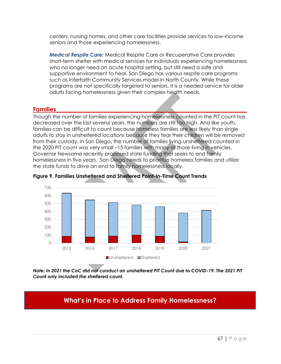centers, nursing homes, and other care facilities provide services to low-income seniors and those experiencing homelessness.

*Medical Respite Care:* Medical Respite Care or Recuperative Care provides short-term shelter with medical services for individuals experiencing homelessness who no longer need an acute hospital setting, but still need a safe and supportive environment to heal. San Diego has various respite care programs such as Interfaith Community Services model in North County. While these programs are not specifically targeted to seniors, it is a needed service for older adults facing homelessness given their complex health needs.

## **Families\_\_\_\_\_\_\_\_\_\_\_\_\_\_\_\_\_\_\_\_\_\_\_\_\_\_\_\_\_\_\_\_\_\_\_\_\_\_\_\_\_\_\_\_\_\_\_\_\_\_\_\_\_\_\_\_\_\_\_\_\_\_\_\_**

Though the number of families experiencing homelessness counted in the PIT count has decreased over the last several years, the numbers are still too high. And like youth, families can be difficult to count because homeless families are less likely than single adults to stay in unsheltered locations because they fear their children will be removed from their custody. In San Diego, the number of families living unsheltered counted in the 2020 PIT count was very small –15 families with many of those living in vehicles. Governor Newsome recently proposed state funding that seeks to end family homelessness in five years. San Diego needs to prioritize homeless families and utilize the state funds to drive an end to family homelessness locally.



**Figure 9. Families Unsheltered and Sheltered Point-In-Time Count Trends**

*Note: In 2021 the CoC did not conduct an unsheltered PIT Count due to COVID-19. The 2021 PIT Count only included the sheltered count.* 

## **What's in Place to Address Family Homelessness?**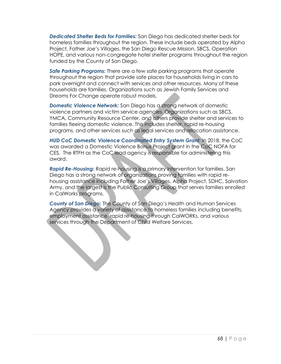*Dedicated Shelter Beds for Families:* San Diego has dedicated shelter beds for homeless families throughout the region. These include beds operated by Alpha Project, Father Joe's Villages, the San Diego Rescue Mission, SBCS, Operation HOPE, and various non-congregate hotel shelter programs throughout the region funded by the County of San Diego.

*Safe Parking Programs:* There are a few safe parking programs that operate throughout the region that provide safe places for households living in cars to park overnight and connect with services and other resources. Many of these households are families. Organizations such as Jewish Family Services and Dreams For Change operate robust models.

*Domestic Violence Network:* San Diego has a strong network of domestic violence partners and victim service agencies. Organizations such as SBCS, YMCA, Community Resource Center, and others provide shelter and services to families fleeing domestic violence. This includes shelter, rapid re-housing programs, and other services such as legal services and relocation assistance.

*HUD CoC Domestic Violence Coordinated Entry System Grant:* In 2018, the CoC was awarded a Domestic Violence Bonus Project grant in the CoC NOFA for CES. The RTFH as the CoC lead agency is responsible for administering this award.

*Rapid Re-Housing:* Rapid re-housing is a primary intervention for families. San Diego has a strong network of organizations proving families with rapid rehousing assistance including Father Joe's Villages, Alpha Project, SDHC, Salvation Army, and the largest is the Public Consulting Group that serves families enrolled in CalWorks programs.

*County of San Diego:* The County of San Diego's Health and Human Services Agency provides a variety of assistance to homeless families including benefits, employment assistance, rapid re-housing through CalWORKs, and various services through the Department of Child Welfare Services.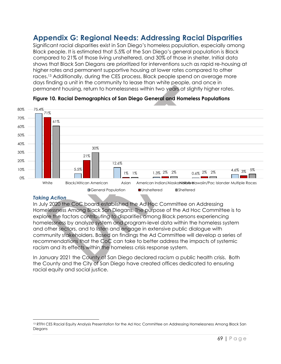# **Appendix G: Regional Needs: Addressing Racial Disparities**

Significant racial disparities exist in San Diego's homeless population, especially among Black people. It is estimated that 5.5% of the San Diego's general population is Black compared to 21% of those living unsheltered, and 30% of those in shelter. Initial data shows that Black San Diegans are prioritized for interventions such as rapid re-housing at higher rates and permanent supportive housing at lower rates compared to other races.<sup>13</sup> Additionally, during the CES process, Black people spend on average more days finding a unit in the community to lease than white people, and once in permanent housing, return to homelessness within two years at slightly higher rates.



#### **Figure 10. Racial Demographics of San Diego General and Homeless Populations**

#### *Taking Action*

 $\overline{\phantom{a}}$ 

In July 2020 the CoC board established the Ad Hoc Committee on Addressing Homelessness Among Black San Diegans. The purpose of the Ad Hoc Committee is to explore the factors contributing to disparities among Black persons experiencing homelessness by analyze system and program-level data within the homeless system and other sectors, and to listen and engage in extensive public dialogue with community stakeholders. Based on findings the Ad Committee will develop a series of recommendations that the CoC can take to better address the impacts of systemic racism and its effects within the homeless crisis response system.

In January 2021 the County of San Diego declared racism a public health crisis. Both the County and the City of San Diego have created offices dedicated to ensuring racial equity and social justice.

<sup>&</sup>lt;sup>13</sup> RTFH CES Racial Equity Analysis Presentation for the Ad Hoc Committee on Addressing Homelessness Among Black San Diegans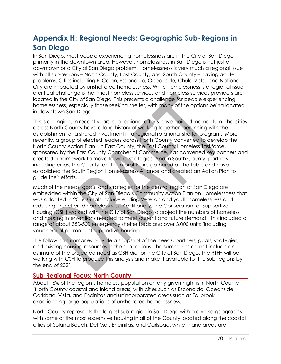# **Appendix H: Regional Needs: Geographic Sub-Regions in San Diego**

In San Diego, most people experiencing homelessness are in the City of San Diego, primarily in the downtown area. However, homelessness in San Diego is not just a downtown or a City of San Diego problem. Homelessness is very much a regional issue with all sub-regions – North County, East County, and South County – having acute problems. Cities including El Cajon, Escondido, Oceanside, Chula Vista, and National City are impacted by unsheltered homelessness. While homelessness is a regional issue, a critical challenge is that most homeless services and homeless services providers are located in the City of San Diego. This presents a challenge for people experiencing homelessness, especially those seeking shelter, with many of the options being located in downtown San Diego.

This is changing. In recent years, sub-regional efforts have gained momentum. The cities across North County have a long history of working together, beginning with the establishment of a shared investment in a regional rotational shelter program. More recently, a group of elected leaders across North County convened to develop the North County Action Plan. In East County, the East County Homeless Taskforce, sponsored by the East County Chamber of Commerce, has convened key partners and created a framework to move forward strategies. And in South County, partners including cities, the County, and non-profits are gathered at the table and have established the South Region Homelessness Alliance and created an Action Plan to guide their efforts.

Much of the needs, goals, and strategies for the central region of San Diego are embedded within the City of San Diego's Community Action Plan on Homelessness that was adopted in 2019. Goals include ending Veteran and youth homelessness and reducing unsheltered homelessness. Additionally, the Corporation for Supportive Housing (CSH) worked with the City of San Diego to project the numbers of homeless and housing interventions needed to meet current and future demand. This included a range of about 350-500 emergency shelter beds and over 3,000 units (including vouchers) of permanent supportive housing.

The following summaries provide a snapshot of the needs, partners, goals, strategies, and existing housing resources in the sub-regions. The summaries do not include an estimate of the projected need as CSH did for the City of San Diego. The RTFH will be working with CSH to produce this analysis and make it available for the sub-regions by the end of 2021.

## **Sub-Regional Focus: North County\_\_\_\_\_\_\_\_\_\_\_\_\_\_\_\_\_\_\_\_\_\_\_\_\_\_\_\_\_\_\_\_\_\_\_\_\_\_\_**

About 16% of the region's homeless population on any given night is in North County (North County coastal and inland areas) with cities such as Escondido, Oceanside, Carlsbad, Vista, and Encinitas and unincorporated areas such as Fallbrook experiencing large populations of unsheltered homelessness.

North County represents the largest sub-region in San Diego with a diverse geography with some of the most expensive housing in all of the County located along the coastal cities of Solana Beach, Del Mar, Encinitas, and Carlsbad, while inland areas are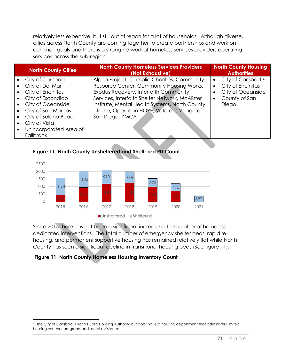relatively less expensive, but still out of reach for a lot of households. Although diverse, cities across North County are coming together to create partnerships and work on common goals and there is a strong network of homeless services providers operating services across the sub-region.

| <b>North County Cities</b> | <b>North County Homeless Services Providers</b><br>(Not Exhaustive) | <b>North County Housing</b><br><b>Authorities</b> |
|----------------------------|---------------------------------------------------------------------|---------------------------------------------------|
| City of Carlsbad           | Alpha Project, Catholic Charities, Community                        | City of Carlsbad <sup>14</sup><br>$\bullet$       |
| City of Del Mar            | Resource Center, Community Housing Works,                           | City of Encinitas<br>$\bullet$                    |
| City of Encinitas          | Exodus Recovery, Interfaith Community                               | City of Oceanside                                 |
| City of Escondido          | Services, Interfaith Shelter Network, McAlister                     | County of San<br>$\bullet$                        |
| City of Oceanside          | Institute, Mental Health Systems, North County                      | Diego                                             |
| City of San Marcos         | Lifeline, Operation HOPE, Veterans Village of                       |                                                   |
| City of Solana Beach       | San Diego, YMCA                                                     |                                                   |
| City of Vista              |                                                                     |                                                   |
| Unincorporated Area of     |                                                                     |                                                   |
| <b>Fallbrook</b>           |                                                                     |                                                   |



## **Figure 11. North County Unsheltered and Sheltered PIT Count**

Since 2015 there has not been a significant increase in the number of homeless dedicated interventions. The total number of emergency shelter beds, rapid rehousing, and permanent supportive housing has remained relatively flat while North County has seen a significant decline in transitional housing beds (See figure 11).

## **Figure 11. North County Homeless Housing Inventory Count**

 $\overline{\phantom{a}}$ 14 The City of Carlsbad is not a Public Housing Authority but does have a housing department that administers limited housing voucher programs and rental assistance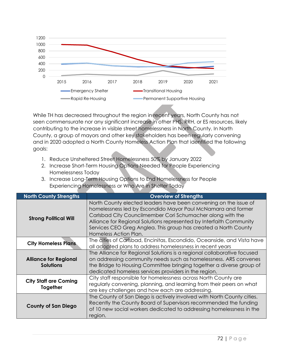

While TH has decreased throughout the region in recent years, North County has not seen commensurate nor any significant increase in other PHS, RRH, or ES resources, likely contributing to the increase in visible street homelessness in North County. In North County, a group of mayors and other key stakeholders has been regularly convening and in 2020 adopted a North County Homeless Action Plan that identified the following goals:

- 1. Reduce Unsheltered Street Homelessness 50% by January 2022
- 2. Increase Short-Term Housing Options Needed for People Experiencing Homelessness Today
- 3. Increase Long-Term Housing Options to End Homelessness for People Experiencing Homelessness or Who Are in Shelter Today

| <b>North County Strengths</b>                    | <b>Overview of Strengths</b>                                                                                                                                                                                                                                                                                                                                      |
|--------------------------------------------------|-------------------------------------------------------------------------------------------------------------------------------------------------------------------------------------------------------------------------------------------------------------------------------------------------------------------------------------------------------------------|
| <b>Strong Political Will</b>                     | North County elected leaders have been convening on the issue of<br>homelessness led by Escondido Mayor Paul McNamara and former<br>Carlsbad City Councilmember Cori Schumacher along with the<br>Alliance for Regional Solutions represented by Interfaith Community<br>Services CEO Greg Anglea. This group has created a North County<br>Homeless Action Plan. |
| <b>City Homeless Plans</b>                       | The cities of Carlsbad, Encinitas, Escondido, Oceanside, and Vista have<br>all adopted plans to address homelessness in recent years                                                                                                                                                                                                                              |
| <b>Alliance for Regional</b><br><b>Solutions</b> | The Alliance for Regional Solutions is a regional collaborative focused<br>on addressing community needs such as homelessness. ARS convenes<br>the Bridge to Housing Committee bringing together a diverse group of<br>dedicated homeless services providers in the region.                                                                                       |
| <b>City Staff are Coming</b><br>Together         | City staff responsible for homelessness across North County are<br>regularly convening, planning, and learning from their peers on what<br>are key challenges and how each are addressing.                                                                                                                                                                        |
| <b>County of San Diego</b>                       | The County of San Diego is actively involved with North County cities.<br>Recently the County Board of Supervisors recommended the funding<br>of 10 new social workers dedicated to addressing homelessness in the<br>region.                                                                                                                                     |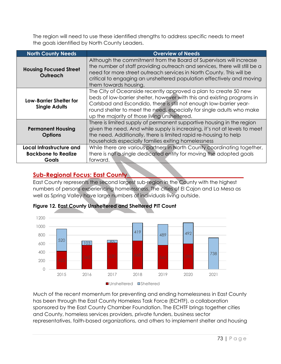The region will need to use these identified strengths to address specific needs to meet the goals identified by North County Leaders.

| <b>North County Needs</b>                                       | <b>Overview of Needs</b>                                                                                                                                                                                                                                                                                                                   |
|-----------------------------------------------------------------|--------------------------------------------------------------------------------------------------------------------------------------------------------------------------------------------------------------------------------------------------------------------------------------------------------------------------------------------|
| <b>Housing Focused Street</b><br>Outreach                       | Although the commitment from the Board of Supervisors will increase<br>the number of staff providing outreach and services, there will still be a<br>need for more street outreach services in North County. This will be<br>critical to engaging an unsheltered population effectively and moving<br>them towards housing.                |
| Low-Barrier Shelter for<br><b>Single Adults</b>                 | The City of Oceanside recently approved a plan to create 50 new<br>beds of low-barrier shelter, however with this and existing programs in<br>Carlsbad and Escondido, there is still not enough low-barrier year-<br>round shelter to meet the need, especially for single adults who make<br>up the majority of those living unsheltered. |
| <b>Permanent Housing</b><br><b>Options</b>                      | There is limited supply of permanent supportive housing in the region<br>given the need. And while supply is increasing, it's not at levels to meet<br>the need. Additionally, there is limited rapid re-housing to help<br>households especially families exiting homelessness                                                            |
| Local Infrastructure and<br><b>Backbone to Realize</b><br>Goals | While there are various partners in North County coordinating together,<br>there is not a single dedicated entity for moving the adopted goals<br>forward.                                                                                                                                                                                 |

# **Sub-Regional Focus: East County\_\_\_\_\_\_\_\_\_\_\_\_\_\_\_\_\_\_\_\_\_\_\_\_\_\_\_\_\_\_\_\_\_\_\_\_\_\_\_**

East County represents the second largest sub-region in the County with the highest numbers of persons experiencing homelessness. The cities of El Cajon and La Mesa as well as Spring Valley have large numbers of individuals living outside.



## **Figure 12. East County Unsheltered and Sheltered PIT Count**

Much of the recent momentum for preventing and ending homelessness in East County has been through the East County Homeless Task Force (ECHTF), a collaboration sponsored by the East County Chamber Foundation. The ECHTF brings together cities and County, homeless services providers, private funders, business sector representatives, faith-based organizations, and others to implement shelter and housing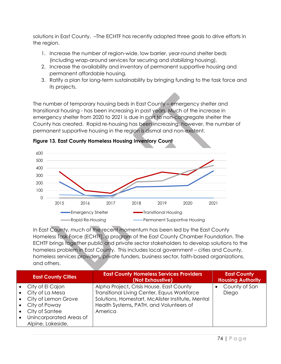solutions in East County. –The ECHTF has recently adopted three goals to drive efforts in the region.

- 1. Increase the number of region-wide, low barrier, year-round shelter beds (including wrap-around services for securing and stabilizing housing).
- 2. Increase the availability and inventory of permanent supportive housing and permanent affordable housing.
- 3. Ratify a plan for long-term sustainability by bringing funding to the task force and its projects.

The number of temporary housing beds in East County – emergency shelter and transitional housing - has been increasing in past years. Much of the increase in emergency shelter from 2020 to 2021 is due in part to non-congregate shelter the County has created. Rapid re-housing has been increasing, however, the number of permanent supportive housing in the region is dismal and non-existent.



**Figure 13. East County Homeless Housing Inventory Count**

In East County, much of the recent momentum has been led by the East County Homeless Task Force (ECHTF), a program of the East County Chamber Foundation. The ECHTF brings together public and private sector stakeholders to develop solutions to the homeless problem in East County. This includes local government – cities and County, homeless services providers, private funders, business sector, faith-based organizations, and others.

| <b>East County Cities</b> | <b>East County Homeless Services Providers</b><br>(Not Exhaustive) | <b>East County</b><br><b>Housing Authority</b> |
|---------------------------|--------------------------------------------------------------------|------------------------------------------------|
| City of El Cajon          | Alpha Project, Crisis House, East County                           | County of San                                  |
| City of La Mesa           | Transitional Living Center, Equus Workforce                        | Diego                                          |
| City of Lemon Grove       | Solutions, Homestart, McAlister Institute, Mental                  |                                                |
| City of Poway             | Health Systems, PATH, and Volunteers of                            |                                                |
| City of Santee            | America                                                            |                                                |
| Unincorporated Areas of   |                                                                    |                                                |
| Alpine, Lakeside,         |                                                                    |                                                |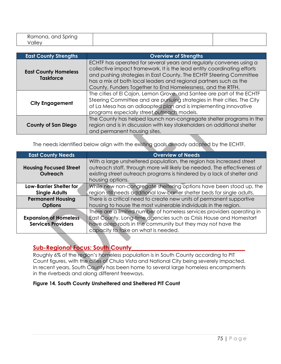| Ramona, and Spring |  |
|--------------------|--|
| Valley             |  |

| <b>East County Strengths</b>                    | <b>Overview of Strengths</b>                                                                                                                                                                                                                                                                                                                              |
|-------------------------------------------------|-----------------------------------------------------------------------------------------------------------------------------------------------------------------------------------------------------------------------------------------------------------------------------------------------------------------------------------------------------------|
| <b>East County Homeless</b><br><b>Taskforce</b> | ECHTF has operated for several years and regularly convenes using a<br>collective impact framework. It is the lead entity coordinating efforts<br>and pushing strategies in East County. The ECHTF Steering Committee<br>has a mix of both local leaders and regional partners such as the<br>County, Funders Together to End Homelessness, and the RTFH. |
| <b>City Engagement</b>                          | The cities of El Cajon, Lemon Grove, and Santee are part of the ECHTF<br>Steering Committee and are pursuing strategies in their cities. The City<br>of La Mesa has an adlaopted plan and is implementing innovative<br>programs especially street outreach models.                                                                                       |
| <b>County of San Diego</b>                      | The County has helped launch non-congregate shelter programs in the<br>region and is in discussion with key stakeholders on additional shelter<br>and permanent housing sites.                                                                                                                                                                            |

The needs identified below align with the existing goals already adopted by the ECHTF.

| <b>East County Needs</b>                  | <b>Overview of Needs</b>                                                                                                                                                                                                                       |  |
|-------------------------------------------|------------------------------------------------------------------------------------------------------------------------------------------------------------------------------------------------------------------------------------------------|--|
| <b>Housing Focused Street</b><br>Outreach | With a large unsheltered population, the region has increased street<br>outreach staff, through more will likely be needed. The effectiveness of<br>existing street outreach programs is hindered by a lack of shelter and<br>housing options. |  |
| Low-Barrier Shelter for                   | While new non-congregate sheltering options have been stood up, the                                                                                                                                                                            |  |
| <b>Single Adults</b>                      | region still needs additional low-barrier shelter beds for single adults.                                                                                                                                                                      |  |
| <b>Permanent Housing</b>                  | There is a critical need to create new units of permanent supportive                                                                                                                                                                           |  |
| <b>Options</b>                            | housing to house the most vulnerable individuals in the region.                                                                                                                                                                                |  |
|                                           | There are a limited number of homeless services providers operating in                                                                                                                                                                         |  |
| <b>Expansion of Homeless</b>              | East County. Long-time agencies such as Crisis House and Homestart                                                                                                                                                                             |  |
| <b>Services Providers</b>                 | have deep roots in the community but they may not have the                                                                                                                                                                                     |  |
|                                           | capacity to take on what is needed.                                                                                                                                                                                                            |  |

# **Sub-Regional Focus: South County\_\_\_\_\_\_\_\_\_\_\_\_\_\_\_\_\_\_\_\_\_\_\_\_\_\_\_\_\_\_\_\_\_\_\_\_\_\_**

Roughly 6% of the region's homeless population is in South County according to PIT Count figures, with the cities of Chula Vista and National City being severely impacted. In recent years, South County has been home to several large homeless encampments in the riverbeds and along different freeways.

### **Figure 14. South County Unsheltered and Sheltered PIT Count**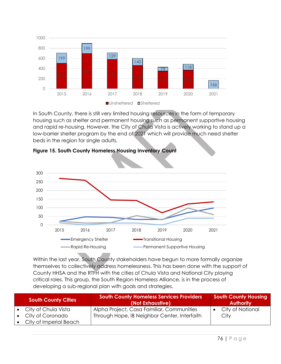

In South County, there is still very limited housing resources in the form of temporary housing such as shelter and permanent housing such as permanent supportive housing and rapid re-housing. However, the City of Chula Vista is actively working to stand up a low-barrier shelter program by the end of 2021 which will provide much need shelter beds in the region for single adults.



**Figure 15. South County Homeless Housing Inventory Count**

Within the last year, South County stakeholders have begun to more formally organize themselves to collectively address homelessness. This has been done with the support of County HHSA and the RTFH with the cities of Chula Vista and National City playing critical roles. This group, the South Region Homeless Alliance, is in the process of developing a sub-regional plan with goals and strategies.

| <b>South County Cities</b> | <b>South County Homeless Services Providers</b><br>(Not Exhaustive) | <b>South County Housing</b><br><b>Authority</b> |
|----------------------------|---------------------------------------------------------------------|-------------------------------------------------|
| City of Chula Vista        | Alpha Project, Casa Familiar, Communities                           | City of National                                |
| City of Coronado           | Through Hope, IB Neighbor Center, Interfaith                        | City                                            |
| City of Imperial Beach     |                                                                     |                                                 |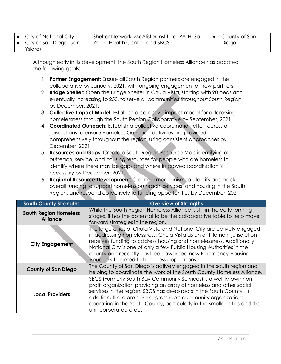| City of National City |
|-----------------------|
|                       |

• City of San Diego (San Ysidro)

Although early in its development, the South Region Homeless Alliance has adopted the following goals:

- 1. **Partner Engagement:** Ensure all South Region partners are engaged in the collaborative by January, 2021, with ongoing engagement of new partners.
- 2. **Bridge Shelter:** Open the Bridge Shelter in Chula Vista, starting with 90 beds and eventually increasing to 250, to serve all communities throughout South Region by December, 2021.
- 3. **Collective Impact Model:** Establish a collective impact model for addressing homelessness through the South Region Collaborative by September, 2021.
- 4. **Coordinated Outreach:** Establish a collective coordination effort across all jurisdictions to ensure Homeless Outreach activities are provided comprehensively throughout the region, using consistent approaches by December, 2021.
- 5. **Resources and Gaps:** Create a South Region Resource Map identifying all outreach, service, and housing resources for people who are homeless to identify where there may be gaps and where improved coordination is necessary by December, 2021.
- 6. **Regional Resource Development:** Create a mechanism to identify and track overall funding to support homeless outreach, services, and housing in the South Region, and respond collectively to funding opportunities by December, 2021.

| <b>South County Strengths</b>                   | <b>Overview of Strengths</b>                                                                                                                                                                                                                                                                                                                                                                                |  |
|-------------------------------------------------|-------------------------------------------------------------------------------------------------------------------------------------------------------------------------------------------------------------------------------------------------------------------------------------------------------------------------------------------------------------------------------------------------------------|--|
| <b>South Region Homeless</b><br><b>Alliance</b> | While the South Region Homeless Alliance is still in the early forming<br>stages, it has the potential to be the collaborative table to help move<br>forward strategies in the region.                                                                                                                                                                                                                      |  |
| <b>City Engagement</b>                          | The large cities of Chula Vista and National City are actively engaged<br>in addressing homelessness. Chula Vista as an entitlement jurisdiction<br>receives funding to address housing and homelessness. Additionally,<br>National City is one of only a few Public Housing Authorities in the<br>county and recently has been awarded new Emergency Housing<br>Vouchers targeted to homeless populations. |  |
| <b>County of San Diego</b>                      | The County of San Diego is actively engaged in the south region and<br>helping to coordinate the work of the South County Homeless Alliance.                                                                                                                                                                                                                                                                |  |
| <b>Local Providers</b>                          | SBCS (Formerly South Bay Community Services) is a well-known non-<br>profit organization providing an array of homeless and other social<br>services in the region. SBCS has deep roots in the South County. In<br>addition, there are several grass roots community organizations<br>operating in the South County, particularly in the smaller cities and the<br>unincorporated area.                     |  |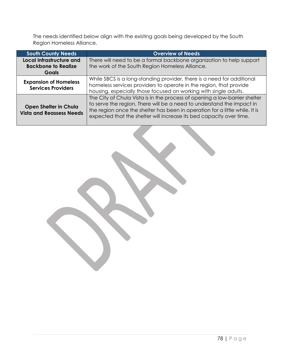The needs identified below align with the existing goals being developed by the South Region Homeless Alliance.

| <b>South County Needs</b>                                              | <b>Overview of Needs</b>                                                                                                                                                                                                                                                                                  |  |
|------------------------------------------------------------------------|-----------------------------------------------------------------------------------------------------------------------------------------------------------------------------------------------------------------------------------------------------------------------------------------------------------|--|
| Local Infrastructure and<br><b>Backbone to Realize</b><br><b>Goals</b> | There will need to be a formal backbone organization to help support<br>the work of the South Region Homeless Alliance.                                                                                                                                                                                   |  |
| <b>Expansion of Homeless</b><br><b>Services Providers</b>              | While SBCS is a long-standing provider, there is a need for additional<br>homeless services providers to operate in the region, that provide<br>housing, especially those focused on working with single adults.                                                                                          |  |
| <b>Open Shelter in Chula</b><br><b>Vista and Reassess Needs</b>        | The City of Chula Vista is in the process of opening a low-barrier shelter<br>to serve the region. There will be a need to understand the impact in<br>the region once the shelter has been in operation for a little while. It is<br>expected that the shelter will increase its bed capacity over time. |  |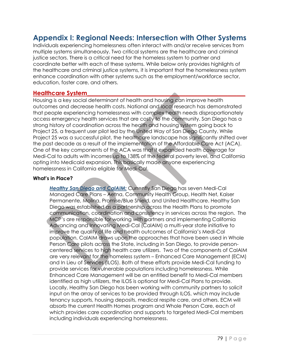# **Appendix I: Regional Needs: Intersection with Other Systems**

Individuals experiencing homelessness often interact with and/or receive services from multiple systems simultaneously. Two critical systems are the healthcare and criminal justice sectors. There is a critical need for the homeless system to partner and coordinate better with each of these systems. While below only provides highlights of the healthcare and criminal justice systems, it is important that the homelessness system enhance coordination with other systems such as the employment/workforce sector, education, foster care, and others.

### **Healthcare System\_\_\_\_\_\_\_\_\_\_\_\_\_\_\_\_\_\_\_\_\_\_\_\_\_\_\_\_\_\_\_\_\_\_\_\_\_\_\_\_\_\_\_\_\_\_\_\_\_\_\_\_\_**

Housing is a key social determinant of health and housing can improve health outcomes and decrease health costs. National and local research has demonstrated that people experiencing homelessness with complex health needs disproportionately access emergency health services that are costly to the community. San Diego has a strong history of coordination across the health and housing system going back to Project 25, a frequent user pilot led by the United Way of San Diego County. While Project 25 was a successful pilot, the healthcare landscape has significantly shifted over the past decade as a result of the implementation of the Affordable Care Act (ACA). One of the key components of the ACA was that it expanded health coverage for Medi-Cal to adults with incomes up to 138% of the federal poverty level, and California opting into Medicaid expansion. This basically made anyone experiencing homelessness in California eligible for Medi-Cal.

#### **What's in Place?**

*Healthy San Diego and CalAIM:* Currently San Diego has seven Medi-Cal Managed Care Plans – Aetna, Community Health Group, Health Net, Kaiser Permanente, Molina, Promise/Blue Shield, and United Healthcare. Healthy San Diego was established as a partnership across the Health Plans to promote communication, coordination and consistency in services across the region. The MCP's are responsible for working with partners and implementing California Advancing and Innovating Medi-Cal (CalAIM) a multi-year state initiative to improve the quality of life and health outcomes of California's Medi-Cal population. CalAIM draws upon the approaches that have been used in Whole Person Care pilots across the State, including in San Diego, to provide personcentered services to high health care utilizers. Two of the components of CalAIM are very relevant for the homeless system – Enhanced Care Management (ECM) and In Lieu of Services (ILOS). Both of these efforts provide Medi-Cal funding to provide services for vulnerable populations including homelessness. While Enhanced Care Management will be an entitled benefit to Medi-Cal members identified as high utilizers, the ILOS is optional for Medi-Cal Plans to provide. Locally, Healthy San Diego has been working with community partners to solicit input on the array of services to be provided through ILOS, which may include tenancy supports, housing deposits, medical respite care, and others. ECM will absorb the current Health Homes program and Whole Person Care, each of which provides care coordination and supports to targeted Medi-Cal members including individuals experiencing homelessness.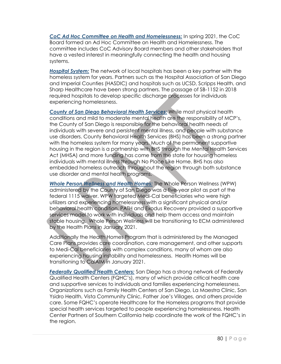*CoC Ad Hoc Committee on Health and Homelessness:* In spring 2021, the CoC Board formed an Ad Hoc Committee on Health and Homelessness. The committee includes CoC Advisory Board members and other stakeholders that have a vested interest in meaningfully connecting the health and housing systems.

*Hospital System:* The network of local hospitals has been a key partner with the homeless system for years. Partners such as the Hospital Association of San Diego and Imperial Counties (HASDIC) and hospitals such as UCSD, Scripps Health, and Sharp Healthcare have been strong partners. The passage of SB-1152 in 2018 required hospitals to develop specific discharge processes for individuals experiencing homelessness.

*County of San Diego Behavioral Health Services:* While most physical health conditions and mild to moderate mental health are the responsibility of MCP's, the County of San Diego is responsible for the behavioral health needs of individuals with severe and persistent mental illness, and people with substance use disorders. County Behavioral Health Services (BHS) has been a strong partner with the homeless system for many years. Much of the permanent supportive housing in the region is a partnership with BHS through the Mental Health Services Act (MHSA) and more funding has come from the state for housing homeless individuals with mental illness through No Place Like Home. BHS has also embedded homeless outreach throughout the region through both substance use disorder and mental health programs.

*Whole Person Wellness and Health Homes:* The Whole Person Wellness (WPW) administered by the County of San Diego was a five-year pilot as part of the federal 1115 waiver. WPW targeted Medi-Cal beneficiaries who were high utilizers and experiencing homelessness with a significant physical and/or behavioral health condition. PATH and Exodus Recovery provided a supportive services model to work with individuals and help them access and maintain stable housing. Whole Person Wellness will be transitioning to ECM administered by the Health Plans in January 2021.

Additionally the Health Homes Program that is administered by the Managed Care Plans provides care coordination, care management, and other supports to Medi-Cal beneficiaries with complex conditions, many of whom are also experiencing housing instability and homelessness. Health Homes will be transitioning to CalAIM in January 2021.

*Federally Qualified Health Centers:* San Diego has a strong network of Federally Qualified Health Centers (FQHC's), many of which provide critical health care and supportive services to individuals and families experiencing homelessness. Organizations such as Family Health Centers of San Diego, La Maestra Clinic, San Ysidro Health, Vista Community Clinic, Father Joe's Villages, and others provide care. Some FQHC's operate Healthcare for the Homeless programs that provide special health services targeted to people experiencing homelessness. Health Center Partners of Southern California help coordinate the work of the FQHC's in the region.